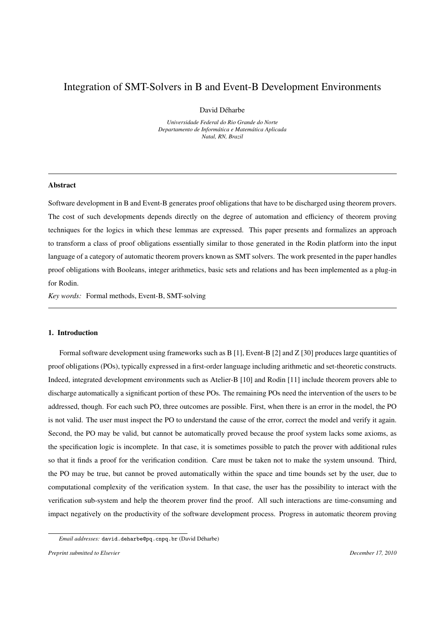# Integration of SMT-Solvers in B and Event-B Development Environments

David Déharbe

*Universidade Federal do Rio Grande do Norte Departamento de Inform ´atica e Matem ´atica Aplicada Natal, RN, Brazil*

# Abstract

Software development in B and Event-B generates proof obligations that have to be discharged using theorem provers. The cost of such developments depends directly on the degree of automation and efficiency of theorem proving techniques for the logics in which these lemmas are expressed. This paper presents and formalizes an approach to transform a class of proof obligations essentially similar to those generated in the Rodin platform into the input language of a category of automatic theorem provers known as SMT solvers. The work presented in the paper handles proof obligations with Booleans, integer arithmetics, basic sets and relations and has been implemented as a plug-in for Rodin.

*Key words:* Formal methods, Event-B, SMT-solving

# 1. Introduction

Formal software development using frameworks such as B [1], Event-B [2] and Z [30] produces large quantities of proof obligations (POs), typically expressed in a first-order language including arithmetic and set-theoretic constructs. Indeed, integrated development environments such as Atelier-B [10] and Rodin [11] include theorem provers able to discharge automatically a significant portion of these POs. The remaining POs need the intervention of the users to be addressed, though. For each such PO, three outcomes are possible. First, when there is an error in the model, the PO is not valid. The user must inspect the PO to understand the cause of the error, correct the model and verify it again. Second, the PO may be valid, but cannot be automatically proved because the proof system lacks some axioms, as the specification logic is incomplete. In that case, it is sometimes possible to patch the prover with additional rules so that it finds a proof for the verification condition. Care must be taken not to make the system unsound. Third, the PO may be true, but cannot be proved automatically within the space and time bounds set by the user, due to computational complexity of the verification system. In that case, the user has the possibility to interact with the verification sub-system and help the theorem prover find the proof. All such interactions are time-consuming and impact negatively on the productivity of the software development process. Progress in automatic theorem proving

*Email addresses:* david.deharbe@pq.cnpq.br (David Déharbe)

*Preprint submitted to Elsevier December 17, 2010*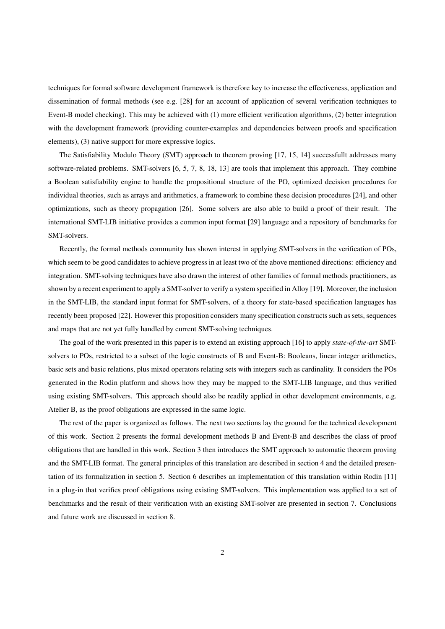techniques for formal software development framework is therefore key to increase the effectiveness, application and dissemination of formal methods (see e.g. [28] for an account of application of several verification techniques to Event-B model checking). This may be achieved with  $(1)$  more efficient verification algorithms,  $(2)$  better integration with the development framework (providing counter-examples and dependencies between proofs and specification elements), (3) native support for more expressive logics.

The Satisfiability Modulo Theory (SMT) approach to theorem proving [17, 15, 14] successfullt addresses many software-related problems. SMT-solvers [6, 5, 7, 8, 18, 13] are tools that implement this approach. They combine a Boolean satisfiability engine to handle the propositional structure of the PO, optimized decision procedures for individual theories, such as arrays and arithmetics, a framework to combine these decision procedures [24], and other optimizations, such as theory propagation [26]. Some solvers are also able to build a proof of their result. The international SMT-LIB initiative provides a common input format [29] language and a repository of benchmarks for SMT-solvers.

Recently, the formal methods community has shown interest in applying SMT-solvers in the verification of POs, which seem to be good candidates to achieve progress in at least two of the above mentioned directions: efficiency and integration. SMT-solving techniques have also drawn the interest of other families of formal methods practitioners, as shown by a recent experiment to apply a SMT-solver to verify a system specified in Alloy [19]. Moreover, the inclusion in the SMT-LIB, the standard input format for SMT-solvers, of a theory for state-based specification languages has recently been proposed [22]. However this proposition considers many specification constructs such as sets, sequences and maps that are not yet fully handled by current SMT-solving techniques.

The goal of the work presented in this paper is to extend an existing approach [16] to apply *state-of-the-art* SMTsolvers to POs, restricted to a subset of the logic constructs of B and Event-B: Booleans, linear integer arithmetics, basic sets and basic relations, plus mixed operators relating sets with integers such as cardinality. It considers the POs generated in the Rodin platform and shows how they may be mapped to the SMT-LIB language, and thus verified using existing SMT-solvers. This approach should also be readily applied in other development environments, e.g. Atelier B, as the proof obligations are expressed in the same logic.

The rest of the paper is organized as follows. The next two sections lay the ground for the technical development of this work. Section 2 presents the formal development methods B and Event-B and describes the class of proof obligations that are handled in this work. Section 3 then introduces the SMT approach to automatic theorem proving and the SMT-LIB format. The general principles of this translation are described in section 4 and the detailed presentation of its formalization in section 5. Section 6 describes an implementation of this translation within Rodin [11] in a plug-in that verifies proof obligations using existing SMT-solvers. This implementation was applied to a set of benchmarks and the result of their verification with an existing SMT-solver are presented in section 7. Conclusions and future work are discussed in section 8.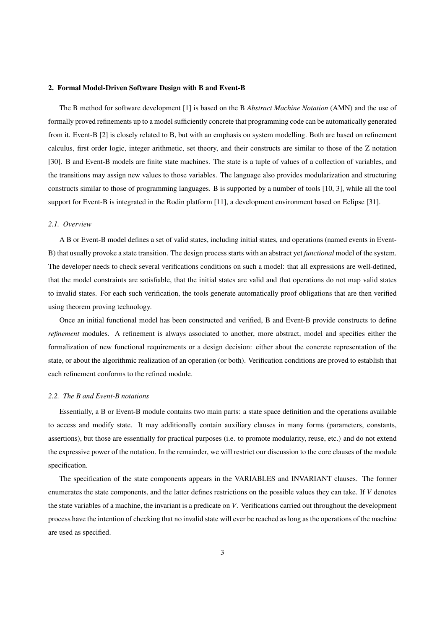### 2. Formal Model-Driven Software Design with B and Event-B

The B method for software development [1] is based on the B *Abstract Machine Notation* (AMN) and the use of formally proved refinements up to a model sufficiently concrete that programming code can be automatically generated from it. Event-B [2] is closely related to B, but with an emphasis on system modelling. Both are based on refinement calculus, first order logic, integer arithmetic, set theory, and their constructs are similar to those of the Z notation [30]. B and Event-B models are finite state machines. The state is a tuple of values of a collection of variables, and the transitions may assign new values to those variables. The language also provides modularization and structuring constructs similar to those of programming languages. B is supported by a number of tools [10, 3], while all the tool support for Event-B is integrated in the Rodin platform [11], a development environment based on Eclipse [31].

# *2.1. Overview*

A B or Event-B model defines a set of valid states, including initial states, and operations (named events in Event-B) that usually provoke a state transition. The design process starts with an abstract yet *functional* model of the system. The developer needs to check several verifications conditions on such a model: that all expressions are well-defined, that the model constraints are satisfiable, that the initial states are valid and that operations do not map valid states to invalid states. For each such verification, the tools generate automatically proof obligations that are then verified using theorem proving technology.

Once an initial functional model has been constructed and verified, B and Event-B provide constructs to define *refinement* modules. A refinement is always associated to another, more abstract, model and specifies either the formalization of new functional requirements or a design decision: either about the concrete representation of the state, or about the algorithmic realization of an operation (or both). Verification conditions are proved to establish that each refinement conforms to the refined module.

# *2.2. The B and Event-B notations*

Essentially, a B or Event-B module contains two main parts: a state space definition and the operations available to access and modify state. It may additionally contain auxiliary clauses in many forms (parameters, constants, assertions), but those are essentially for practical purposes (i.e. to promote modularity, reuse, etc.) and do not extend the expressive power of the notation. In the remainder, we will restrict our discussion to the core clauses of the module specification.

The specification of the state components appears in the VARIABLES and INVARIANT clauses. The former enumerates the state components, and the latter defines restrictions on the possible values they can take. If *V* denotes the state variables of a machine, the invariant is a predicate on *V*. Verifications carried out throughout the development process have the intention of checking that no invalid state will ever be reached as long as the operations of the machine are used as specified.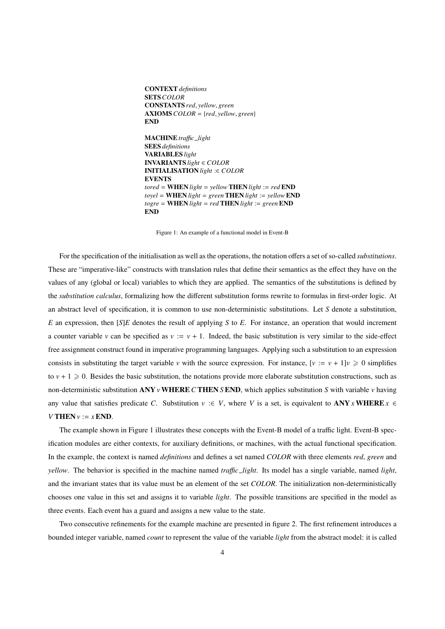CONTEXT*definitions* SETS*COLOR* CONSTANTS *red*, *yellow*, *green* AXIOMS*COLOR* = {*red*, *yellow*, *green*} END MACHINE*trac light* SEES *definitions* VARIABLES *light* **INVARIANTS**  $light \in COLOR$ INITIALISATION *light* :2 *COLOR* EVENTS *tored* = WHEN *light* = *yellow*THEN *light* := *red* END *toyel* = WHEN *light* = *green*THEN *light* := *yellow*END *togre* = WHEN *light* = *red* THEN *light* := *green*END END



For the specification of the initialisation as well as the operations, the notation offers a set of so-called *substitutions*. These are "imperative-like" constructs with translation rules that define their semantics as the effect they have on the values of any (global or local) variables to which they are applied. The semantics of the substitutions is defined by the *substitution calculus*, formalizing how the different substitution forms rewrite to formulas in first-order logic. At an abstract level of specification, it is common to use non-deterministic substitutions. Let *S* denote a substitution, *E* an expression, then [*S*]*E* denotes the result of applying *S* to *E*. For instance, an operation that would increment a counter variable *v* can be specified as  $v := v + 1$ . Indeed, the basic substitution is very similar to the side-effect free assignment construct found in imperative programming languages. Applying such a substitution to an expression consists in substituting the target variable *v* with the source expression. For instance,  $[v := v + 1]v \ge 0$  simplifies to  $v + 1 \ge 0$ . Besides the basic substitution, the notations provide more elaborate substitution constructions, such as non-deterministic substitution ANY *v* WHERE*C* THEN *S* END, which applies substitution *S* with variable *v* having any value that satisfies predicate *C*. Substitution  $v \in V$ , where *V* is a set, is equivalent to **ANY** *x* WHERE  $x \in V$ *V* THEN  $v := x$  END.

The example shown in Figure 1 illustrates these concepts with the Event-B model of a traffic light. Event-B specification modules are either contexts, for auxiliary definitions, or machines, with the actual functional specification. In the example, the context is named *definitions* and defines a set named *COLOR* with three elements *red*, *green* and *yellow*. The behavior is specified in the machine named *traffic\_light*. Its model has a single variable, named *light*, and the invariant states that its value must be an element of the set *COLOR*. The initialization non-deterministically chooses one value in this set and assigns it to variable *light*. The possible transitions are specified in the model as three events. Each event has a guard and assigns a new value to the state.

Two consecutive refinements for the example machine are presented in figure 2. The first refinement introduces a bounded integer variable, named *count* to represent the value of the variable *light* from the abstract model: it is called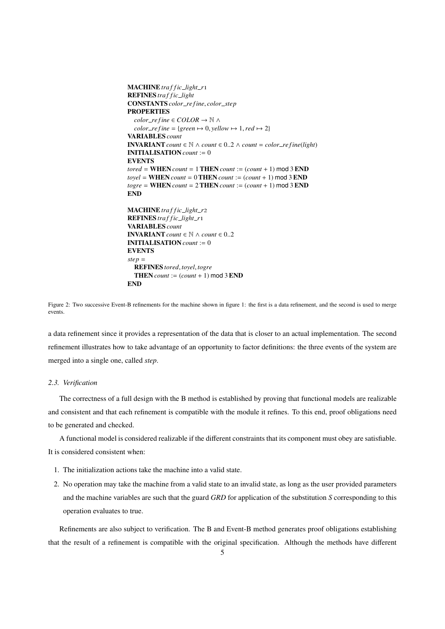```
MACHINEtra f f ic light r1
REFINES tra f f ic light
CONSTANTS color re f ine, color step
PROPERTIES
  color\_refine \in COLOR \rightarrow \mathbb{N} \wedgecolor_refine = {green \mapsto 0, yellow \mapsto 1, red \mapsto 2}
VARIABLES count
INVARIANT count \in \mathbb{N} \land count \in 0.2 \land count = color_refine(light)
INITIALISATION count := 0
EVENTS
tored = \textbf{WHEN} \text{ count} = 1 \text{ THEN} \text{ count} := (count + 1) \text{ mod } 3 \text{ END}toyel = WHEN count = 0 THEN count := (count + 1) mod 3 END
togre = \text{WHEN} \text{ count} = 2 \text{ THEN} \text{ count} := (count + 1) \text{ mod } 3 \text{ END}END
MACHINE<sub>traffic_light_r2</sub>
REFINES tra f f ic light r1
VARIABLES count
INVARIANT count \in \mathbb{N} \wedge count \in 0.2INITIALISATION count := 0
EVENTS
step =
  REFINES tored, toyel, togre
  THEN count := \left(count + 1) mod 3 END
END
```
Figure 2: Two successive Event-B refinements for the machine shown in figure 1: the first is a data refinement, and the second is used to merge events.

a data refinement since it provides a representation of the data that is closer to an actual implementation. The second refinement illustrates how to take advantage of an opportunity to factor definitions: the three events of the system are merged into a single one, called *step*.

# *2.3. Verification*

The correctness of a full design with the B method is established by proving that functional models are realizable and consistent and that each refinement is compatible with the module it refines. To this end, proof obligations need to be generated and checked.

A functional model is considered realizable if the different constraints that its component must obey are satisfiable. It is considered consistent when:

- 1. The initialization actions take the machine into a valid state.
- 2. No operation may take the machine from a valid state to an invalid state, as long as the user provided parameters and the machine variables are such that the guard *GRD* for application of the substitution *S* corresponding to this operation evaluates to true.

Refinements are also subject to verification. The B and Event-B method generates proof obligations establishing that the result of a refinement is compatible with the original specification. Although the methods have different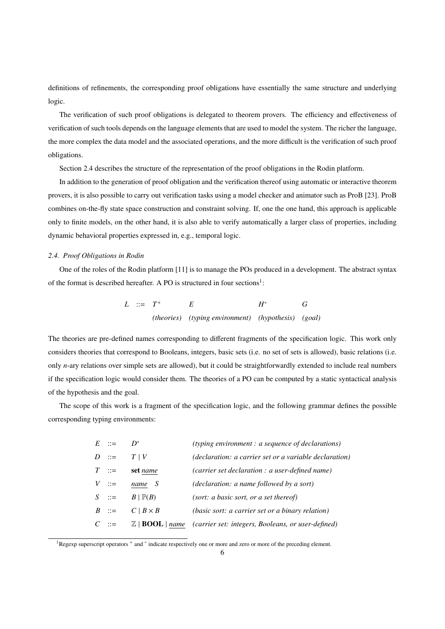definitions of refinements, the corresponding proof obligations have essentially the same structure and underlying logic.

The verification of such proof obligations is delegated to theorem provers. The efficiency and effectiveness of verification of such tools depends on the language elements that are used to model the system. The richer the language, the more complex the data model and the associated operations, and the more difficult is the verification of such proof obligations.

Section 2.4 describes the structure of the representation of the proof obligations in the Rodin platform.

In addition to the generation of proof obligation and the verification thereof using automatic or interactive theorem provers, it is also possible to carry out verification tasks using a model checker and animator such as ProB [23]. ProB combines on-the-fly state space construction and constraint solving. If, one the one hand, this approach is applicable only to finite models, on the other hand, it is also able to verify automatically a larger class of properties, including dynamic behavioral properties expressed in, e.g., temporal logic.

### *2.4. Proof Obligations in Rodin*

One of the roles of the Rodin platform [11] is to manage the POs produced in a development. The abstract syntax of the format is described hereafter. A PO is structured in four sections<sup>1</sup>:

$$
L ::= T^+ \qquad E \qquad H^* \qquad G
$$
  
(theories) (typing environment) (hypothesis) (goal)

The theories are pre-defined names corresponding to different fragments of the specification logic. This work only considers theories that correspond to Booleans, integers, basic sets (i.e. no set of sets is allowed), basic relations (i.e. only *n*-ary relations over simple sets are allowed), but it could be straightforwardly extended to include real numbers if the specification logic would consider them. The theories of a PO can be computed by a static syntactical analysis of the hypothesis and the goal.

The scope of this work is a fragment of the specification logic, and the following grammar defines the possible corresponding typing environments:

| $E$ ::=                | $D^*$                  | (typing environment : a sequence of declarations)                                    |
|------------------------|------------------------|--------------------------------------------------------------------------------------|
| $D \nightharpoonup$ := | $T \perp V$            | <i>(declaration: a carrier set or a variable declaration)</i>                        |
| $T$ ::=                | set <i>name</i>        | (carrier set declaration : a user-defined name)                                      |
| $V$ ::=                | name S                 | (declaration: a name followed by a sort)                                             |
| $S$ ::=                | $B \mid \mathbb{P}(B)$ | (sort: a basic sort, or a set thereof)                                               |
| $B$ ::=                | $C \mid B \times B$    | (basic sort: a carrier set or a binary relation)                                     |
| $C$ ::=                |                        | $\mathbb{Z}$   <b>BOOL</b>   name (carrier set: integers, Booleans, or user-defined) |

<sup>1</sup>Regexp superscript operators <sup>+</sup> and <sup>\*</sup> indicate respectively one or more and zero or more of the preceding element.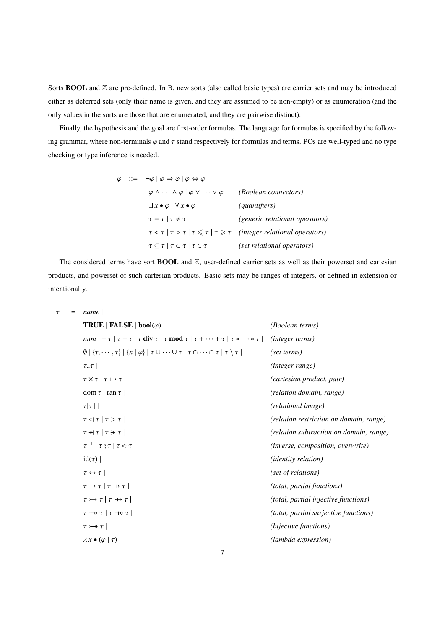Sorts **BOOL** and  $\mathbb Z$  are pre-defined. In B, new sorts (also called basic types) are carrier sets and may be introduced either as deferred sets (only their name is given, and they are assumed to be non-empty) or as enumeration (and the only values in the sorts are those that are enumerated, and they are pairwise distinct).

Finally, the hypothesis and the goal are first-order formulas. The language for formulas is specified by the following grammar, where non-terminals  $\varphi$  and  $\tau$  stand respectively for formulas and terms. POs are well-typed and no type checking or type inference is needed.

|  | $\varphi$ : $= \neg \varphi \mid \varphi \Rightarrow \varphi \mid \varphi \Leftrightarrow \varphi$ |                                                                                               |
|--|----------------------------------------------------------------------------------------------------|-----------------------------------------------------------------------------------------------|
|  | $\varphi \wedge \cdots \wedge \varphi \varphi \vee \cdots \vee \varphi$                            | <i>(Boolean connectors)</i>                                                                   |
|  | $ \exists x \bullet \varphi  \forall x \bullet \varphi$                                            | <i>(quantifiers)</i>                                                                          |
|  | $\tau = \tau \mid \tau \neq \tau$                                                                  | <i>(generic relational operators)</i>                                                         |
|  |                                                                                                    | $ \tau < \tau   \tau > \tau   \tau \leq \tau   \tau \geq \tau$ (integer relational operators) |
|  | $\tau \subseteq \tau \mid \tau \subset \tau \mid \tau \in \tau$                                    | (set relational operators)                                                                    |

The considered terms have sort **BOOL** and  $\mathbb{Z}$ , user-defined carrier sets as well as their powerset and cartesian products, and powerset of such cartesian products. Basic sets may be ranges of integers, or defined in extension or intentionally.

 $\tau$  ::= *name* |

| <b>TRUE</b>   <b>FALSE</b>   <b>bool</b> $(\varphi)$                                                                                               | <i>(Boolean terms)</i>                       |
|----------------------------------------------------------------------------------------------------------------------------------------------------|----------------------------------------------|
| $num \mid -\tau \mid \tau - \tau \mid \tau \text{ div } \tau \mid \tau \text{ mod } \tau \mid \tau + \cdots + \tau \mid \tau * \cdots * \tau \mid$ | <i>(integer terms)</i>                       |
| $\emptyset$   { $\tau$ , , $\tau$ }   { $x   \varphi$ }   $\tau \cup \cdots \cup \tau$   $\tau \cap \cdots \cap \tau$   $\tau \setminus \tau$      | (set terms)                                  |
| $\tau$ $\tau$                                                                                                                                      | ( <i>integer range</i> )                     |
| $\tau \times \tau$ $\tau \mapsto \tau$                                                                                                             | (cartesian product, pair)                    |
| dom $\tau$   ran $\tau$                                                                                                                            | (relation domain, range)                     |
| $\tau[\tau]$                                                                                                                                       | (relational image)                           |
| $\tau \lhd \tau \mid \tau \rhd \tau \mid$                                                                                                          | (relation restriction on domain, range)      |
| $\tau \lhd \tau \mid \tau \rhd \tau \mid$                                                                                                          | (relation subtraction on domain, range)      |
| $\tau^{-1}$   $\tau \circ \tau$   $\tau \notin \tau$                                                                                               | <i>(inverse, composition, overwrite)</i>     |
| $id(\tau)$                                                                                                                                         | <i>(identity relation)</i>                   |
| $\tau \leftrightarrow \tau$                                                                                                                        | (set of relations)                           |
| $\tau \rightarrow \tau  \tau \rightarrow \tau $                                                                                                    | <i>(total, partial functions)</i>            |
| $\tau \rightarrowtail \tau   \tau \rightarrowtail \tau  $                                                                                          | (total, partial injective functions)         |
| $\tau \rightarrow \tau  \tau \rightarrow \tau $                                                                                                    | <i>(total, partial surjective functions)</i> |
| $\tau \rightarrow \tau$                                                                                                                            | (bijective functions)                        |
| $\lambda x \bullet (\varphi \mid \tau)$                                                                                                            | (lambda expression)                          |
|                                                                                                                                                    |                                              |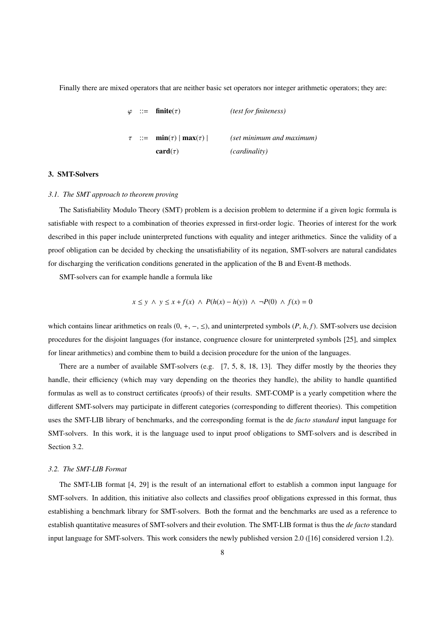Finally there are mixed operators that are neither basic set operators nor integer arithmetic operators; they are:

|  | $\varphi$ ::= finite( $\tau$ )         | (test for finiteness)     |
|--|----------------------------------------|---------------------------|
|  | $\tau$ ::= $\min(\tau)   \max(\tau)  $ | (set minimum and maximum) |
|  | card $(\tau)$                          | <i>(cardinality)</i>      |

### 3. SMT-Solvers

## *3.1. The SMT approach to theorem proving*

The Satisfiability Modulo Theory (SMT) problem is a decision problem to determine if a given logic formula is satisfiable with respect to a combination of theories expressed in first-order logic. Theories of interest for the work described in this paper include uninterpreted functions with equality and integer arithmetics. Since the validity of a proof obligation can be decided by checking the unsatisfiability of its negation, SMT-solvers are natural candidates for discharging the verification conditions generated in the application of the B and Event-B methods.

SMT-solvers can for example handle a formula like

$$
x \le y \land y \le x + f(x) \land P(h(x) - h(y)) \land \neg P(0) \land f(x) = 0
$$

which contains linear arithmetics on reals  $(0, +, -, \leq)$ , and uninterpreted symbols  $(P, h, f)$ . SMT-solvers use decision procedures for the disjoint languages (for instance, congruence closure for uninterpreted symbols [25], and simplex for linear arithmetics) and combine them to build a decision procedure for the union of the languages.

There are a number of available SMT-solvers (e.g.  $[7, 5, 8, 18, 13]$ . They differ mostly by the theories they handle, their efficiency (which may vary depending on the theories they handle), the ability to handle quantified formulas as well as to construct certificates (proofs) of their results. SMT-COMP is a yearly competition where the different SMT-solvers may participate in different categories (corresponding to different theories). This competition uses the SMT-LIB library of benchmarks, and the corresponding format is the de *facto standard* input language for SMT-solvers. In this work, it is the language used to input proof obligations to SMT-solvers and is described in Section 3.2.

#### *3.2. The SMT-LIB Format*

The SMT-LIB format [4, 29] is the result of an international effort to establish a common input language for SMT-solvers. In addition, this initiative also collects and classifies proof obligations expressed in this format, thus establishing a benchmark library for SMT-solvers. Both the format and the benchmarks are used as a reference to establish quantitative measures of SMT-solvers and their evolution. The SMT-LIB format is thus the *de facto* standard input language for SMT-solvers. This work considers the newly published version 2.0 ([16] considered version 1.2).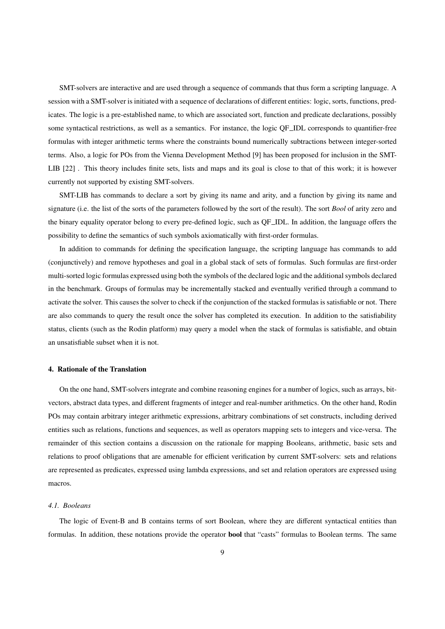SMT-solvers are interactive and are used through a sequence of commands that thus form a scripting language. A session with a SMT-solver is initiated with a sequence of declarations of different entities: logic, sorts, functions, predicates. The logic is a pre-established name, to which are associated sort, function and predicate declarations, possibly some syntactical restrictions, as well as a semantics. For instance, the logic OF IDL corresponds to quantifier-free formulas with integer arithmetic terms where the constraints bound numerically subtractions between integer-sorted terms. Also, a logic for POs from the Vienna Development Method [9] has been proposed for inclusion in the SMT-LIB [22]. This theory includes finite sets, lists and maps and its goal is close to that of this work; it is however currently not supported by existing SMT-solvers.

SMT-LIB has commands to declare a sort by giving its name and arity, and a function by giving its name and signature (i.e. the list of the sorts of the parameters followed by the sort of the result). The sort *Bool* of arity zero and the binary equality operator belong to every pre-defined logic, such as QF IDL. In addition, the language offers the possibility to define the semantics of such symbols axiomatically with first-order formulas.

In addition to commands for defining the specification language, the scripting language has commands to add (conjunctively) and remove hypotheses and goal in a global stack of sets of formulas. Such formulas are first-order multi-sorted logic formulas expressed using both the symbols of the declared logic and the additional symbols declared in the benchmark. Groups of formulas may be incrementally stacked and eventually verified through a command to activate the solver. This causes the solver to check if the conjunction of the stacked formulas is satisfiable or not. There are also commands to query the result once the solver has completed its execution. In addition to the satisfiability status, clients (such as the Rodin platform) may query a model when the stack of formulas is satisfiable, and obtain an unsatisfiable subset when it is not.

#### 4. Rationale of the Translation

On the one hand, SMT-solvers integrate and combine reasoning engines for a number of logics, such as arrays, bitvectors, abstract data types, and different fragments of integer and real-number arithmetics. On the other hand, Rodin POs may contain arbitrary integer arithmetic expressions, arbitrary combinations of set constructs, including derived entities such as relations, functions and sequences, as well as operators mapping sets to integers and vice-versa. The remainder of this section contains a discussion on the rationale for mapping Booleans, arithmetic, basic sets and relations to proof obligations that are amenable for efficient verification by current SMT-solvers: sets and relations are represented as predicates, expressed using lambda expressions, and set and relation operators are expressed using macros.

# *4.1. Booleans*

The logic of Event-B and B contains terms of sort Boolean, where they are different syntactical entities than formulas. In addition, these notations provide the operator bool that "casts" formulas to Boolean terms. The same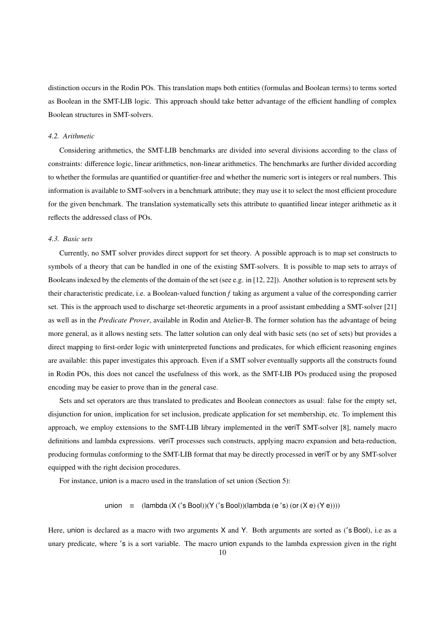distinction occurs in the Rodin POs. This translation maps both entities (formulas and Boolean terms) to terms sorted as Boolean in the SMT-LIB logic. This approach should take better advantage of the efficient handling of complex Boolean structures in SMT-solvers.

# *4.2. Arithmetic*

Considering arithmetics, the SMT-LIB benchmarks are divided into several divisions according to the class of constraints: difference logic, linear arithmetics, non-linear arithmetics. The benchmarks are further divided according to whether the formulas are quantified or quantifier-free and whether the numeric sort is integers or real numbers. This information is available to SMT-solvers in a benchmark attribute; they may use it to select the most efficient procedure for the given benchmark. The translation systematically sets this attribute to quantified linear integer arithmetic as it reflects the addressed class of POs.

# *4.3. Basic sets*

Currently, no SMT solver provides direct support for set theory. A possible approach is to map set constructs to symbols of a theory that can be handled in one of the existing SMT-solvers. It is possible to map sets to arrays of Booleans indexed by the elements of the domain of the set (see e.g. in [12, 22]). Another solution is to represent sets by their characteristic predicate, i.e. a Boolean-valued function *f* taking as argument a value of the corresponding carrier set. This is the approach used to discharge set-theoretic arguments in a proof assistant embedding a SMT-solver [21] as well as in the *Predicate Prover*, available in Rodin and Atelier-B. The former solution has the advantage of being more general, as it allows nesting sets. The latter solution can only deal with basic sets (no set of sets) but provides a direct mapping to first-order logic with uninterpreted functions and predicates, for which efficient reasoning engines are available: this paper investigates this approach. Even if a SMT solver eventually supports all the constructs found in Rodin POs, this does not cancel the usefulness of this work, as the SMT-LIB POs produced using the proposed encoding may be easier to prove than in the general case.

Sets and set operators are thus translated to predicates and Boolean connectors as usual: false for the empty set, disjunction for union, implication for set inclusion, predicate application for set membership, etc. To implement this approach, we employ extensions to the SMT-LIB library implemented in the veriT SMT-solver [8], namely macro definitions and lambda expressions. veriT processes such constructs, applying macro expansion and beta-reduction, producing formulas conforming to the SMT-LIB format that may be directly processed in veriT or by any SMT-solver equipped with the right decision procedures.

For instance, union is a macro used in the translation of set union (Section 5):

$$
\text{union} \quad \equiv \quad (\text{lambda } (X \text{ ('s } \text{Bool})) (Y \text{ ('s } \text{Bool})) (\text{lambda } (e \text{ 's}) \text{ (or } (X \text{ e}) \text{ (Y } e))))
$$

Here, union is declared as a macro with two arguments  $X$  and  $Y$ . Both arguments are sorted as ( $\mathsf{r}$  s Bool), i.e as a unary predicate, where 's is a sort variable. The macro union expands to the lambda expression given in the right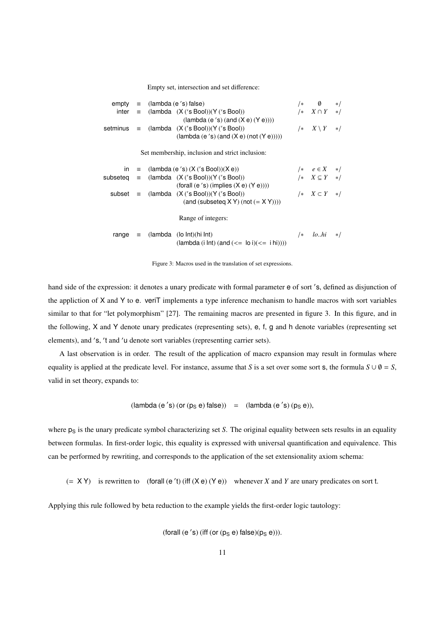Empty set, intersection and set difference:

| empty    | (lambda(e's) false)<br>$\equiv$ |  | $/*$ 0                                                                                  | $\ast/$             |       |
|----------|---------------------------------|--|-----------------------------------------------------------------------------------------|---------------------|-------|
| inter    | $\equiv$                        |  | (lambda $(X('s Bool))(Y('s Bool))$<br>(lambda (e's) (and (X e) (Y e))))                 | $/* X \cap Y$       | $* /$ |
| setminus |                                 |  | $\equiv$ (lambda $(X('s Bool))(Y('s Bool))$<br>$(lambda (e's) (and (X e) (not (Y e))))$ | $/* X \setminus Y$  | $*$   |
|          |                                 |  | Set membership, inclusion and strict inclusion:                                         |                     |       |
| in       |                                 |  | $\equiv$ (lambda (e's) (X ('s Bool))(X e))                                              | $/*$ $e \in X$ */   |       |
| subseteg | $\equiv$                        |  | (lambda (X('s Bool))(Y('s Bool)))                                                       | $/* X \subset Y$ */ |       |
|          |                                 |  | (foral (e's) (implies (X e) (Y e))))                                                    |                     |       |
| subset   |                                 |  | $\equiv$ (lambda $(X('s Bool))(Y('s Bool))$                                             | $/* X \subset Y$ */ |       |
|          |                                 |  | $(and (subseted X Y) (not (= X Y))))$                                                   |                     |       |
|          |                                 |  | Range of integers:                                                                      |                     |       |
| range    | $\equiv$                        |  | $(lambda$ $(lob)$ lnt $(lob)$<br>$(lambda (i Int) (and (<= lo i)(<= i hi)))$            | $/*$ lo.hi */       |       |

Figure 3: Macros used in the translation of set expressions.

hand side of the expression: it denotes a unary predicate with formal parameter e of sort 's, defined as disjunction of the appliction of X and Y to e. veriT implements a type inference mechanism to handle macros with sort variables similar to that for "let polymorphism" [27]. The remaining macros are presented in figure 3. In this figure, and in the following, X and Y denote unary predicates (representing sets), e, f, g and h denote variables (representing set elements), and 's, 't and 'u denote sort variables (representing carrier sets).

A last observation is in order. The result of the application of macro expansion may result in formulas where equality is applied at the predicate level. For instance, assume that *S* is a set over some sort **s**, the formula  $S \cup \emptyset = S$ , valid in set theory, expands to:

 $(lambda (e's) (or (p<sub>S</sub> e) false)) = (lambda (e's) (p<sub>S</sub> e)),$ 

where  $p<sub>S</sub>$  is the unary predicate symbol characterizing set *S*. The original equality between sets results in an equality between formulas. In first-order logic, this equality is expressed with universal quantification and equivalence. This can be performed by rewriting, and corresponds to the application of the set extensionality axiom schema:

 $(= XY)$  is rewritten to (forall  $(e't)$  (iff  $(Xe) (Ye)$ ) whenever *X* and *Y* are unary predicates on sort *t*.

Applying this rule followed by beta reduction to the example yields the first-order logic tautology:

(forall (e's) (iff (or  $(p_S e)$  false) $(p_S e)$ )).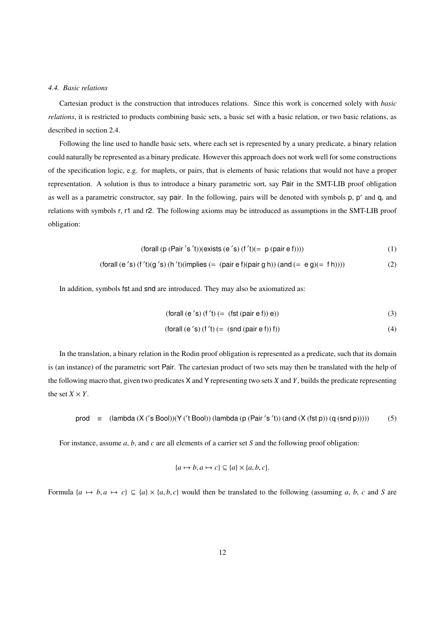#### *4.4. Basic relations*

Cartesian product is the construction that introduces relations. Since this work is concerned solely with *basic relations*, it is restricted to products combining basic sets, a basic set with a basic relation, or two basic relations, as described in section 2.4.

Following the line used to handle basic sets, where each set is represented by a unary predicate, a binary relation could naturally be represented as a binary predicate. However this approach does not work well for some constructions of the specification logic, e.g. for maplets, or pairs, that is elements of basic relations that would not have a proper representation. A solution is thus to introduce a binary parametric sort, say Pair in the SMT-LIB proof obligation as well as a parametric constructor, say pair. In the following, pairs will be denoted with symbols  $p, p'$  and  $q$ , and relations with symbols r, r1 and r2. The following axioms may be introduced as assumptions in the SMT-LIB proof obligation:

$$
(\text{for all } (p \text{ (Pair } 's 't)) (\text{exists } (e 's) (f 't)) = p \text{ (pair } e f)))) \tag{1}
$$

$$
(\text{for all } (e's) (f't)(g's) (h't)(\text{implies } (= (\text{pair } e f)(\text{pair } g h)) (\text{and } (= e g)(= f h))))
$$
 (2)

In addition, symbols fst and snd are introduced. They may also be axiomatized as:

$$
(\text{for all } (e's) (f't) (= (\text{fst } (\text{pair } e f)) e))
$$
\n
$$
(3)
$$

$$
(\text{for all } (e's) (f't) (= (\text{snd } (\text{pair } e f)) f))
$$
\n
$$
\tag{4}
$$

In the translation, a binary relation in the Rodin proof obligation is represented as a predicate, such that its domain is (an instance) of the parametric sort Pair. The cartesian product of two sets may then be translated with the help of the following macro that, given two predicates X and Y representing two sets *X* and *Y*, builds the predicate representing the set  $X \times Y$ .

$$
\text{prod} \equiv (\text{lambda } (X('s \text{Bool})) (Y('t \text{Bool})) (\text{lambda } (p (\text{Pair 's 't})) (\text{and } (X (\text{fst } p)) (q (\text{snd } p)))) \tag{5}
$$

For instance, assume *a*, *b*, and *c* are all elements of a carrier set *S* and the following proof obligation:

$$
\{a \mapsto b, a \mapsto c\} \subseteq \{a\} \times \{a, b, c\}.
$$

Formula  $\{a \mapsto b, a \mapsto c\} \subseteq \{a\} \times \{a, b, c\}$  would then be translated to the following (assuming *a*, *b*, *c* and *S* are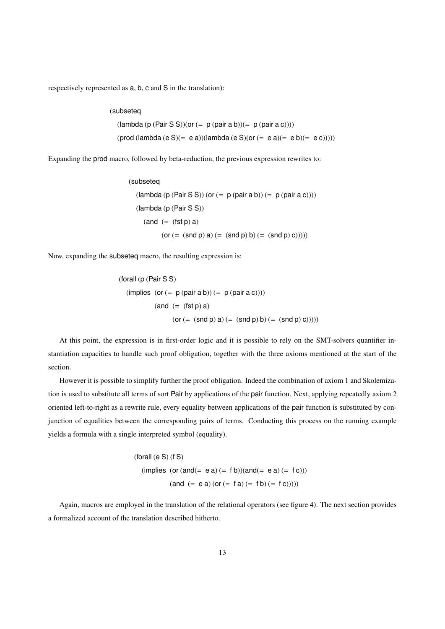respectively represented as a, b, c and S in the translation):

(subseteq  $(lambda (p (Pair S S))(or (= p (pair a b)) (= p (pair a c))))$ (prod (lambda (e S)(= e a))(lambda (e S)(or (= e a)(= e b)(= e c)))))

Expanding the prod macro, followed by beta-reduction, the previous expression rewrites to:

(subseteq  $(lambda (p (Pair S S)) (or (= p (pair a b)) (= p (pair a c))))$ (lambda (p (Pair S S))  $(and (= (fst p) a)$  $($ or (=  $(snd p)$  a) (=  $(snd p)$  b) (=  $(snd p)$  c)))))

Now, expanding the subseteq macro, the resulting expression is:

(forall (p (Pair S S) (implies (or (= p (pair a b)) (= p (pair a c)))) (and (= (fst p) a) (or (= (snd p) a) (= (snd p) b) (= (snd p) c)))))

At this point, the expression is in first-order logic and it is possible to rely on the SMT-solvers quantifier instantiation capacities to handle such proof obligation, together with the three axioms mentioned at the start of the section.

However it is possible to simplify further the proof obligation. Indeed the combination of axiom 1 and Skolemization is used to substitute all terms of sort Pair by applications of the pair function. Next, applying repeatedly axiom 2 oriented left-to-right as a rewrite rule, every equality between applications of the pair function is substituted by conjunction of equalities between the corresponding pairs of terms. Conducting this process on the running example yields a formula with a single interpreted symbol (equality).

> $(foral (e S) (f S))$ (implies (or  $(and (= e a) (= f b))$ ) $(and (= e a) (= f c))$ )  $(and (= e a) (or (= fa) (= fb) (= fc))))$

Again, macros are employed in the translation of the relational operators (see figure 4). The next section provides a formalized account of the translation described hitherto.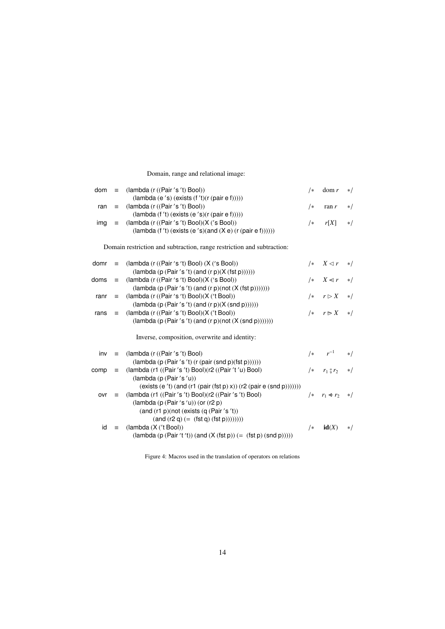Domain, range and relational image:

|     | $dom \equiv (lambda(r((Pair's't)Bool))$                                | /* | $\text{dom } r \rightarrow$ |       |
|-----|------------------------------------------------------------------------|----|-----------------------------|-------|
|     | $(lambda (e's) (exists (f't)(r (pair e f))))$                          |    |                             |       |
| ran | $\equiv$ (lambda (r ((Pair's 't) Bool))                                | /* | ran $r \neq$                |       |
|     | $(lambda (f't) (exists (e's)(r (pair e f))))$                          |    |                             |       |
| ıma | $\equiv$ (lambda (r ((Pair's 't) Bool)(X ('s Bool))                    | /∗ | r[X]                        | $*$ / |
|     | $(\lambda)$ (lambda (f't) (exists (e's)(and $(X e)$ (r (pair e f)))))) |    |                             |       |
|     |                                                                        |    |                             |       |

Domain restriction and subtraction, range restriction and subtraction:

| domr |          | $\equiv$ (lambda (r ((Pair's 't) Bool) (X ('s Bool))<br>$(\lambda(p (Pair's't) (and (rp)(X (fst p))))))$                 |    | $/* X \lhd r */$                   |       |
|------|----------|--------------------------------------------------------------------------------------------------------------------------|----|------------------------------------|-------|
| doms | $\equiv$ | (lambda (r $((Pair 's 't) Bool)(X ('s Bool))$<br>$(\lambda(p \cdot (Pair's't) (and (rp)(not (X (fst p)))))))$            |    | $/* X \lhd r */$                   |       |
| ranr | $\equiv$ | (lambda (r ((Pair's't) Bool)(X ('t Bool))<br>$(lambda (p (Pair 's 't) (and (r p)(X (snd p))))))$                         |    | $/* r \triangleright X */$         |       |
| rans |          | $\equiv$ (lambda (r ((Pair's 't) Bool)(X ('t Bool))                                                                      |    | $/*$ $r \triangleright X$ */       |       |
|      |          | $(lambda (p (Pair's't) (and (r p)(not (X (snd p)))))))$                                                                  |    |                                    |       |
|      |          | Inverse, composition, overwrite and identity:                                                                            |    |                                    |       |
| inv  | $\equiv$ | (lambda (r ((Pair 's 't) Bool)                                                                                           |    | $/* r^{-1} */$                     |       |
|      |          | $(lambda (p (Pair 's 't) (r (pair (snd p)(fst p))))))$                                                                   |    |                                    |       |
| comp | $\equiv$ | (lambda (r1 ((Pair 's 't) Bool)(r2 ((Pair 't 'u) Bool)                                                                   |    | $/* \t r_1 \t_1 \t_2 \t */$        |       |
|      |          | (lambda (p (Pair 's 'u))                                                                                                 |    |                                    |       |
| ovr  | $\equiv$ | (exists (e't) (and (r1 (pair (fst p) x)) (r2 (pair e (snd p)))))))<br>(lambda (r1 ((Pair's't) Bool)(r2 ((Pair's't) Bool) |    |                                    |       |
|      |          | (lambda (p (Pair 's 'u)) (or (r2 p))                                                                                     |    | $/* \quad r_1 \notin r_2 \quad */$ |       |
|      |          | $(and (r1 p)(not (exists (q (Pair 's 't)))$                                                                              |    |                                    |       |
|      |          | $(and (r2 q) (= (fst q) (fst p)))))$                                                                                     |    |                                    |       |
| id   | $\equiv$ | (lambda (X ('t Bool))                                                                                                    | /* | id(X)                              | $* /$ |
|      |          | $(lambda (p (Pair 't't)) (and (X (fst p)) (= (fst p) (snd p))))$                                                         |    |                                    |       |
|      |          |                                                                                                                          |    |                                    |       |

Figure 4: Macros used in the translation of operators on relations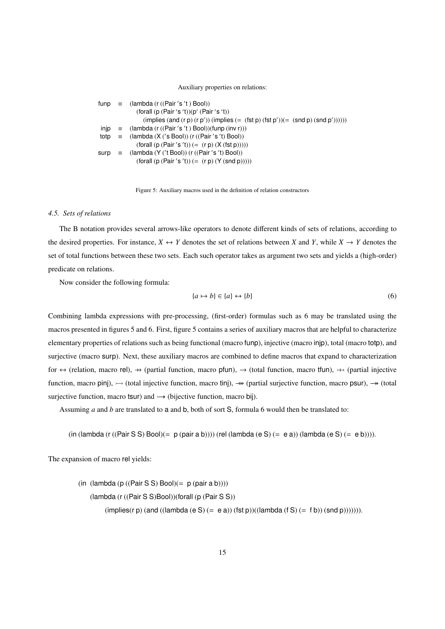Auxiliary properties on relations:

```
funp \equiv (lambda (r ((Pair 's 't ) Bool))
                        (foral (p (Pair 's 't))(p' (Pair 's 't))(\text{implies} (\text{and} (\text{r p}) (\text{r p'})) (\text{implies} (= (\text{fst p}) (\text{fst p'})) (= (\text{snd p}) (\text{snd p'}))))))\mathsf{injp} \equiv (\mathsf{lambda}\, (\mathsf{r}\, ((\mathsf{Pair}\, '\mathsf{s}\, 't\, )\, \mathsf{Bool}))(\mathsf{funp}\, (\mathsf{inv}\, r)))\begin{array}{lll} \text{top} & \equiv & (\text{lambda } (X (\text{'s } \text{Bool})) (r ((\text{Pair 's 't)} \text{Bool})) \end{array}(foral (p (Pair 's 't)) (= (r p) (X (fst p))))\text{surp } \equiv (\text{lambda} (Y('t \text{Bool})) (r ((\text{Pair 's 't)} \text{Bool}))(foral (p (Pair 's 't)) (= (rp) (Y (snd p))))
```
Figure 5: Auxiliary macros used in the definition of relation constructors

#### *4.5. Sets of relations*

The B notation provides several arrows-like operators to denote different kinds of sets of relations, according to the desired properties. For instance,  $X \leftrightarrow Y$  denotes the set of relations between X and Y, while  $X \to Y$  denotes the set of total functions between these two sets. Each such operator takes as argument two sets and yields a (high-order) predicate on relations.

Now consider the following formula:

$$
\{a \mapsto b\} \in \{a\} \leftrightarrow \{b\} \tag{6}
$$

Combining lambda expressions with pre-processing, (first-order) formulas such as 6 may be translated using the macros presented in figures 5 and 6. First, figure 5 contains a series of auxiliary macros that are helpful to characterize elementary properties of relations such as being functional (macro funp), injective (macro injp), total (macro totp), and surjective (macro surp). Next, these auxiliary macros are combined to define macros that expand to characterization for  $\leftrightarrow$  (relation, macro rel),  $\leftrightarrow$  (partial function, macro pfun),  $\rightarrow$  (total function, macro tfun),  $\leftrightarrow$  (partial injective function, macro pinj),  $\rightarrow$  (total injective function, macro tinj),  $\nrightarrow$  (partial surjective function, macro psur),  $\nrightarrow$  (total surjective function, macro tsur) and  $\rightarrow$  (bijective function, macro bij).

Assuming *a* and *b* are translated to a and b, both of sort S, formula 6 would then be translated to:

 $(in (lambda (r ((Pair S S) Bool)) = p (pair a b))))$  (rel  $(lambda (e S) (= e a))$  (lambda  $(e S) (= e b))))$ ).

The expansion of macro rel yields:

(in  $(lambda (p ((Pair S S) Bool)(= p (pair a b))))$ (lambda (r ((Pair S S)Bool))(forall (p (Pair S S))  $(\text{implies}(r \text{ p}) (\text{and } ((\text{lambda} (e \text{ S}) (= e \text{ a})) (\text{fst} \text{ p}))((\text{lambda} (f \text{ S}) (= f \text{ b})) (\text{snd} \text{ p})))))$ .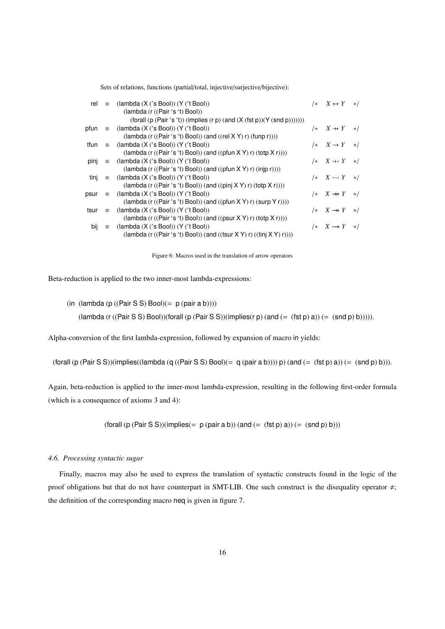Sets of relations, functions (partial/total, injective/surjective/bijective):

| rel    |          | $\equiv$ (lambda (X ('s Bool)) (Y ('t Bool))                                      | $/* X \leftrightarrow Y$ */        |  |
|--------|----------|-----------------------------------------------------------------------------------|------------------------------------|--|
|        |          | (lambda (r ((Pair 's 't) Bool))                                                   |                                    |  |
|        |          | (forall (p (Pair's't)) (implies (r p) (and $(X$ (fst p)) $(Y \text{ (snd p))))$ ) |                                    |  |
| pfun ≡ |          | (lambda (X ('s Bool)) (Y ('t Bool)))                                              | $/* X \rightarrow Y \rightarrow /$ |  |
|        |          | $(lambda (r ((Pair 's 't) Bool)) (and ((rel X Y) r) (funpr))))$                   |                                    |  |
| tfun   |          | $\equiv$ (lambda (X ('s Bool)) (Y ('t Bool))                                      | $/* X \rightarrow Y$ */            |  |
|        |          | $(lambda (r ((Pair 's 't) Bool)) (and ((pfun XY) r) (totp X r))))$                |                                    |  |
| pinj   | $\equiv$ | (lambda(X('s Bool))(Y('t Bool)))                                                  | $/* X \rightarrow Y *$             |  |
|        |          | $(lambda (r ((Pair 's 't) Bool)) (and ((pfun X Y) r) (inp r))))$                  |                                    |  |
| tini   |          | $\equiv$ (lambda (X ('s Bool)) (Y ('t Bool))                                      | $/* X \rightarrow Y$ */            |  |
|        |          | $(lambda (r ((Pair 's 't) Bool)) (and ((pinj XY) r) (totp X r))))$                |                                    |  |
| psur   | $\equiv$ | (lambda (X('s Bool)) (Y('t Bool)))                                                | $/* X \rightarrow Y$ */            |  |
|        |          | $(lambda (r ((Pair 's 't) Bool)) (and ((pfun XY) r) (surp Y r))))$                |                                    |  |
| tsur   | $\equiv$ | (lambda (X ('s Bool)) (Y ('t Bool))                                               | $/* X \rightarrow Y$ */            |  |
|        |          | $(lambda (r ((Pair 's 't) Bool)) (and ((psur XY) r) (totp X r))))$                |                                    |  |
| bij    | $\equiv$ | (lambda (X ('s Bool)) (Y ('t Bool)))                                              | $/* X \rightarrow Y */$            |  |
|        |          | (lambda (r ((Pair's't) Bool)) (and ((tsur X Y) r) ((tinj X Y) r))))               |                                    |  |

Figure 6: Macros used in the translation of arrow operators

Beta-reduction is applied to the two inner-most lambda-expressions:

(in  $(lambda (p ((Pair S S) Bool)(= p (pair a b))))$  $(\text{lambda}(r ((Pair S S) Bool))(\text{for all}(p (Pair S S))(\text{implies}(r p) (and (= (fst p) a)) (= (snd p) b))))).$ 

Alpha-conversion of the first lambda-expression, followed by expansion of macro in yields:

 $(\text{for all } (p \text{ (Pair } S S))(\text{implies}((\text{lambda } q \text{ (}(Pair S S) Bool)) = q \text{ (pair } a b)))) p) (\text{and } (= (\text{fst } p) a)) (= (\text{snd } p) b))).$ 

Again, beta-reduction is applied to the inner-most lambda-expression, resulting in the following first-order formula (which is a consequence of axioms 3 and 4):

 $(forall (p (Pair S S))(implies (= p (pair a b)) (and (= (fst p) a)) (= (snd p) b)))$ 

## *4.6. Processing syntactic sugar*

Finally, macros may also be used to express the translation of syntactic constructs found in the logic of the proof obligations but that do not have counterpart in SMT-LIB. One such construct is the disequality operator  $\neq$ ; the definition of the corresponding macro neq is given in figure 7.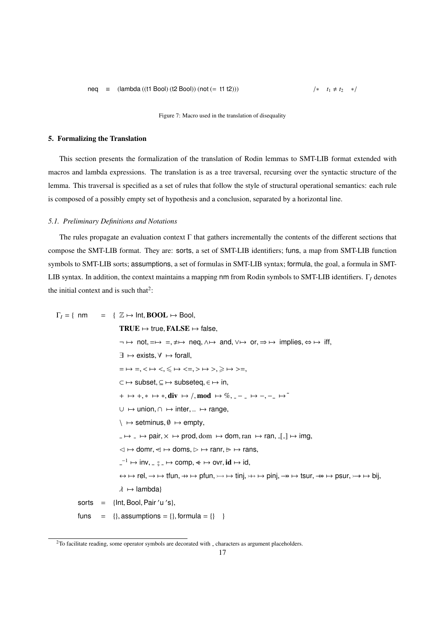$\text{neg}$  = (lambda ((t1 Bool) (t2 Bool)) (not (= t1 t2)))  $\frac{1}{x}$  +  $\frac{t_1 \neq t_2 \neq 1}{t_1 + t_2 \neq 1}$ 

Figure 7: Macro used in the translation of disequality

# 5. Formalizing the Translation

This section presents the formalization of the translation of Rodin lemmas to SMT-LIB format extended with macros and lambda expressions. The translation is as a tree traversal, recursing over the syntactic structure of the lemma. This traversal is specified as a set of rules that follow the style of structural operational semantics: each rule is composed of a possibly empty set of hypothesis and a conclusion, separated by a horizontal line.

#### *5.1. Preliminary Definitions and Notations*

The rules propagate an evaluation context  $\Gamma$  that gathers incrementally the contents of the different sections that compose the SMT-LIB format. They are: sorts, a set of SMT-LIB identifiers; funs, a map from SMT-LIB function symbols to SMT-LIB sorts; assumptions, a set of formulas in SMT-LIB syntax; formula, the goal, a formula in SMT-LIB syntax. In addition, the context maintains a mapping nm from Rodin symbols to SMT-LIB identifiers.  $\Gamma_l$  denotes the initial context and is such that<sup>2</sup>:

*<sup>I</sup>* = { nm = { Z 7! Int,BOOL 7! Bool, TRUE 7! true, FALSE 7! false, ¬ 7! not, =7! =, ,7! neq, ^7! and, \_7! or, ) 7! implies, , 7! iff, 9 7! exists, 8 7! forall, = 7! =, < 7! <, 6 7! <=, > 7! >, > 7! >=, ⇢ 7! subset, ✓ 7! subseteq, 2 7! in, + 7! +, ⇤ 7! ⇤, div 7! /, mod 7! %, 7! , 7!˜ [ 7! union, \ 7! inter, .. 7! range, \ 7! setminus, ; 7! empty, 7! 7! pair, ⇥ 7! prod, dom 7! dom, ran 7! ran, [ ] 7! img, C 7! domr, C 7! doms, B 7! ranr, B 7! rans, <sup>1</sup> 7! inv, <sup>o</sup> <sup>9</sup> 7! comp, <+ 7! ovr, id 7! id, \$ 7! rel, ! 7! tfun, 7! 7! pfun,⇢ 7! tinj,⇢7 7! pinj, !! 7! tsur, 7!! 7! psur,⇢! 7! bij, 7! lambda} sorts = {Int, Bool, Pair <sup>0</sup> u 0 s}, funs = {}, assumptions = {}, formula = {} }

<sup>&</sup>lt;sup>2</sup>To facilitate reading, some operator symbols are decorated with \_ characters as argument placeholders.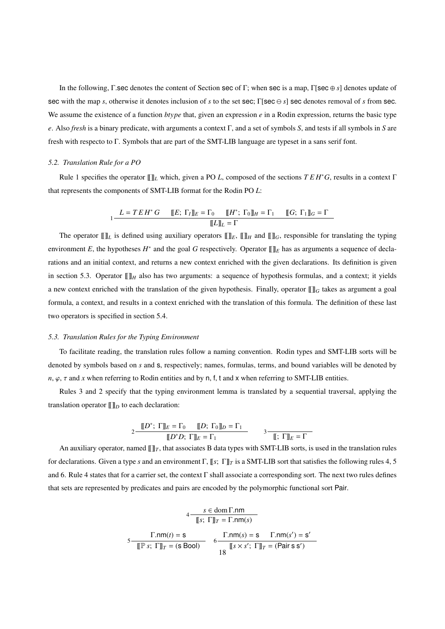In the following,  $\Gamma$ , sec denotes the content of Section sec of  $\Gamma$ ; when sec is a map,  $\Gamma$  sec  $\oplus s$  denotes update of sec with the map *s*, otherwise it denotes inclusion of *s* to the set sec;  $\Gamma$ [sec  $\ominus$  *s*] sec denotes removal of *s* from sec. We assume the existence of a function *btype* that, given an expression *e* in a Rodin expression, returns the basic type *e*. Also *fresh* is a binary predicate, with arguments a context  $\Gamma$ , and a set of symbols *S*, and tests if all symbols in *S* are fresh with respecto to  $\Gamma$ . Symbols that are part of the SMT-LIB language are typeset in a sans serif font.

### *5.2. Translation Rule for a PO*

Rule 1 specifies the operator  $\llbracket \rrbracket_L$  which, given a PO *L*, composed of the sections  $TEH^*G$ , results in a context  $\Gamma$ that represents the components of SMT-LIB format for the Rodin PO *L*:

$$
1 - \frac{L = TEH^*G \qquad [[E; \Gamma_I]]_E = \Gamma_0 \qquad [[H^*; \Gamma_0]]_H = \Gamma_1 \qquad [[G; \Gamma_1]]_G = \Gamma}{[[L]]_L = \Gamma}
$$

The operator  $[\![\cdot]\!]_L$  is defined using auxiliary operators  $[\![\cdot]\!]_E$ ,  $[\![\cdot]\!]_H$  and  $[\![\cdot]\!]_G$ , responsible for translating the typing environment *E*, the hypotheses  $H^*$  and the goal *G* respectively. Operator  $\llbracket \rrbracket_E$  has as arguments a sequence of declarations and an initial context, and returns a new context enriched with the given declarations. Its definition is given in section 5.3. Operator  $\iiint_H$  also has two arguments: a sequence of hypothesis formulas, and a context; it yields a new context enriched with the translation of the given hypothesis. Finally, operator  $\llbracket \rrbracket_G$  takes as argument a goal formula, a context, and results in a context enriched with the translation of this formula. The definition of these last two operators is specified in section 5.4.

#### *5.3. Translation Rules for the Typing Environment*

To facilitate reading, the translation rules follow a naming convention. Rodin types and SMT-LIB sorts will be denoted by symbols based on *s* and s, respectively; names, formulas, terms, and bound variables will be denoted by  $n, \varphi$ ,  $\tau$  and *x* when referring to Rodin entities and by n, f, t and x when referring to SMT-LIB entities.

Rules 3 and 2 specify that the typing environment lemma is translated by a sequential traversal, applying the translation operator  $\llbracket \rrbracket_D$  to each declaration:

$$
2 \frac{\llbracket D^* \colon \Gamma \rrbracket_E = \Gamma_0 \qquad \llbracket D; \ \Gamma_0 \rrbracket_D = \Gamma_1}{\llbracket D^* D; \ \Gamma \rrbracket_E = \Gamma_1} \qquad 3 \frac{\llbracket \colon \Gamma \rrbracket_E = \Gamma}{\llbracket \colon \Gamma \rrbracket_E = \Gamma}
$$

An auxiliary operator, named  $[\![\!]_T$ , that associates B data types with SMT-LIB sorts, is used in the translation rules for declarations. Given a type *s* and an environment  $\Gamma$ , [[*s*;  $\Gamma$ ]]<sub>*T*</sub> is a SMT-LIB sort that satisfies the following rules 4, 5 and 6. Rule 4 states that for a carrier set, the context  $\Gamma$  shall associate a corresponding sort. The next two rules defines that sets are represented by predicates and pairs are encoded by the polymorphic functional sort Pair.

$$
4 - \frac{s \in \text{dom }\Gamma.nm}{\llbracket s; \Gamma \rrbracket_T = \Gamma.nm(s)}
$$
  

$$
5 - \frac{\Gamma.nm(t) = s}{\llbracket \mathbb{P} s; \Gamma \rrbracket_T = (s \text{Bool})} \quad 6 - \frac{\Gamma.nm(s) = s \quad \Gamma.nm(s') = s'}{18}
$$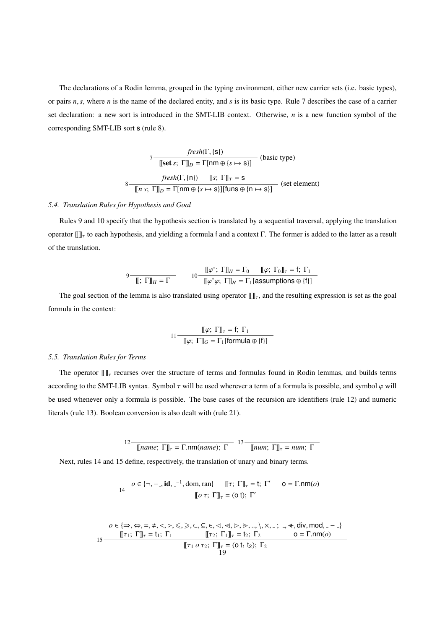The declarations of a Rodin lemma, grouped in the typing environment, either new carrier sets (i.e. basic types), or pairs *n*,*s*, where *n* is the name of the declared entity, and *s* is its basic type. Rule 7 describes the case of a carrier set declaration: a new sort is introduced in the SMT-LIB context. Otherwise, *n* is a new function symbol of the corresponding SMT-LIB sort s (rule 8).

$$
\frac{fresh(\Gamma, \{s\})}{\text{[set s; } \Gamma \|_D = \Gamma[\text{nm} \oplus \{s \mapsto s\}]\text{ (basic type)}}
$$
\n
$$
8 \frac{fresh(\Gamma, \{n\})}{\text{[In s; } \Gamma \|_D = \Gamma[\text{nm} \oplus \{s \mapsto s\}]\text{[funs} \oplus \{n \mapsto s\}]\text{ (set element)}}
$$

### *5.4. Translation Rules for Hypothesis and Goal*

Rules 9 and 10 specify that the hypothesis section is translated by a sequential traversal, applying the translation operator  $\llbracket \cdot \rrbracket$ , to each hypothesis, and yielding a formula f and a context  $\Gamma$ . The former is added to the latter as a result of the translation.

$$
9 \frac{\llbracket \varphi^* \colon \Gamma \rrbracket_H = \Gamma_0 \quad \llbracket \varphi, \ \Gamma_0 \rrbracket_\tau = \mathfrak{f}; \ \Gamma_1}{\llbracket \varphi^* \varphi, \ \Gamma \rrbracket_H = \Gamma_1 \text{[assumptions} \oplus \{\mathfrak{f}\}\}
$$

The goal section of the lemma is also translated using operator  $\llbracket \rrbracket_{\tau}$ , and the resulting expression is set as the goal formula in the context:

$$
11 - \frac{\llbracket \varphi; \; \Gamma \rrbracket_r = \mathfrak{f}; \; \Gamma_1}{\llbracket \varphi; \; \Gamma \rrbracket_G = \Gamma_1[\text{formula} \oplus \{\mathfrak{f}\}]}
$$

# *5.5. Translation Rules for Terms*

The operator  $\llbracket \cdot \rrbracket_r$  recurses over the structure of terms and formulas found in Rodin lemmas, and builds terms according to the SMT-LIB syntax. Symbol  $\tau$  will be used wherever a term of a formula is possible, and symbol  $\varphi$  will be used whenever only a formula is possible. The base cases of the recursion are identifiers (rule 12) and numeric literals (rule 13). Boolean conversion is also dealt with (rule 21).

$$
12 \frac{\text{I} \cdot \text{I} \cdot \text{I}}{\text{I} \cdot \text{I} \cdot \text{I} \cdot \text{I}} = \text{I} \cdot \text{I} \cdot \text{I} \cdot \text{I} \cdot \text{I} \cdot \text{I} \cdot \text{I} \cdot \text{I} \cdot \text{I} \cdot \text{I} \cdot \text{I} \cdot \text{I} \cdot \text{I} \cdot \text{I} \cdot \text{I} \cdot \text{I} \cdot \text{I} \cdot \text{I} \cdot \text{I} \cdot \text{I} \cdot \text{I} \cdot \text{I} \cdot \text{I} \cdot \text{I} \cdot \text{I} \cdot \text{I} \cdot \text{I} \cdot \text{I} \cdot \text{I} \cdot \text{I} \cdot \text{I} \cdot \text{I} \cdot \text{I} \cdot \text{I} \cdot \text{I} \cdot \text{I} \cdot \text{I} \cdot \text{I} \cdot \text{I} \cdot \text{I} \cdot \text{I} \cdot \text{I} \cdot \text{I} \cdot \text{I} \cdot \text{I} \cdot \text{I} \cdot \text{I} \cdot \text{I} \cdot \text{I} \cdot \text{I} \cdot \text{I} \cdot \text{I} \cdot \text{I} \cdot \text{I} \cdot \text{I} \cdot \text{I} \cdot \text{I} \cdot \text{I} \cdot \text{I} \cdot \text{I} \cdot \text{I} \cdot \text{I} \cdot \text{I} \cdot \text{I} \cdot \text{I} \cdot \text{I} \cdot \text{I} \cdot \text{I} \cdot \text{I} \cdot \text{I} \cdot \text{I} \cdot \text{I} \cdot \text{I} \cdot \text{I} \cdot \text{I} \cdot \text{I} \cdot \text{I} \cdot \text{I} \cdot \text{I} \cdot \text{I} \cdot \text{I} \cdot \text{I} \cdot \text{I} \cdot \text{I} \cdot \text{I} \cdot \text{I} \cdot \text{I} \cdot \text{I} \cdot \text{I} \cdot \text{I} \cdot \text{I} \cdot \text{I} \cdot \text{I} \cdot \text{I} \cdot \text{I} \cdot \text{I} \cdot \text{I} \cdot \text{I} \cdot \text{I} \cdot \text{I} \cdot \text{I} \cdot \text
$$

Next, rules 14 and 15 define, respectively, the translation of unary and binary terms.

$$
14 \frac{\mathbf{0} \in \{-,-,\mathbf{id},\_\!\!^{-1},\mathrm{dom},\mathrm{ran}\} \qquad [\![\tau;\ \Gamma]\!]_{\tau} = \mathbf{t};\ \Gamma' \qquad \mathbf{0} = \Gamma.\mathsf{nm}(\mathbf{0})}{[\![\mathbf{0} \ \tau;\ \Gamma]\!]_{\tau} = (\mathbf{0} \ \mathbf{t});\ \Gamma'}
$$

$$
o \in \{\Rightarrow, \Leftrightarrow, =, \neq, <, >, \leq, \geq, \subset, \subseteq, \in, \prec, \prec, \succ, \succ, \ldots, \setminus, \times, \_; \_, \prec, \prec, \text{div}, \text{mod}, \_- \_}
$$
  
\n
$$
\text{If } \tau_1; \ \Gamma \rbrack\!\!\!\|_r = t_1; \ \Gamma_1 \qquad \qquad \text{If } \tau_2; \ \Gamma_1 \rbrack\!\!\!\|_r = t_2; \ \Gamma_2 \qquad \qquad o = \Gamma.nm(o)
$$
  
\n
$$
\text{If } \tau_1 \text{ or } \tau_2; \ \Gamma \rbrack\!\!\!\|_r = (o \ t_1 \ t_2); \ \Gamma_2
$$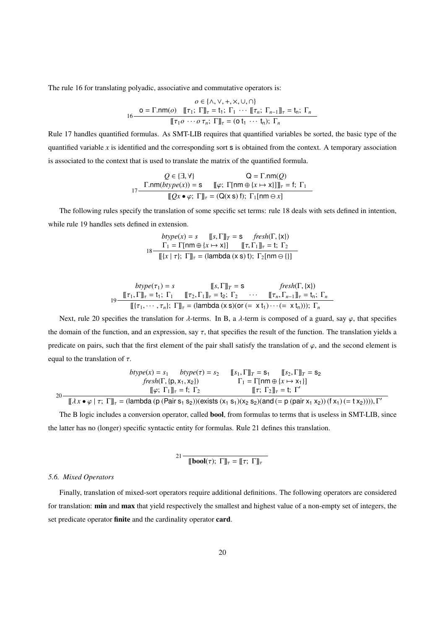The rule 16 for translating polyadic, associative and commutative operators is:

$$
o \in \{\land, \lor, +, \times, \cup, \cap\}
$$
  
16  

$$
o = \Gamma.nm(o) \quad [\![\tau_1; \; \Gamma]\!]_{\tau} = t_1; \; \Gamma_1 \; \cdots \; [\![\tau_n; \; \Gamma_{n-1}]\!]_{\tau} = t_n; \; \Gamma_n
$$
  

$$
[\![\tau_1 o \; \cdots \; o \; \tau_n; \; \Gamma]\!]_{\tau} = (o \; t_1 \; \cdots \; t_n); \; \Gamma_n
$$

Rule 17 handles quantified formulas. As SMT-LIB requires that quantified variables be sorted, the basic type of the quantified variable *x* is identified and the corresponding sort s is obtained from the context. A temporary association is associated to the context that is used to translate the matrix of the quantified formula.

$$
Q \in \{\exists, \forall\}
$$
  
\n
$$
\mathbf{Q} = \Gamma.\mathsf{nm}(Q)
$$
  
\n
$$
\Gamma.\mathsf{nm}(btype(x)) = \mathbf{s} \quad [\![\varphi; \; \Gamma[\mathsf{nm} \oplus \{x \mapsto x\}]]\!]_{\tau} = \mathbf{f}; \; \Gamma_1
$$
  
\n
$$
[\![Qx \bullet \varphi; \; \Gamma]\!]_{\tau} = (\mathbf{Q}(\mathbf{x} \; \mathbf{s}) \; \mathbf{f}); \; \Gamma_1[\mathsf{nm} \ominus x]
$$

The following rules specify the translation of some specific set terms: rule 18 deals with sets defined in intention, while rule 19 handles sets defined in extension.

$$
btype(x) = s \quad [[s, \Gamma]]_T = s \quad fresh(\Gamma, \{x\})
$$

$$
\Gamma_1 = \Gamma[nm \oplus \{x \mapsto x\}] \quad [[\tau, \Gamma_1]]_T = t; \ \Gamma_2
$$

$$
18 \frac{[[x \mid \tau]; \ \Gamma]]_T = (lambda(x \leq t); \ \Gamma_2[nm \ominus \{\}]}
$$

*btype*(
$$
\tau_1
$$
) = s 
$$
\llbracket s, \Gamma \rrbracket_T = s
$$
 *fresh*( $\Gamma, \{x\}$ )  
19 
$$
\llbracket \tau_1, \Gamma \rrbracket_{\tau} = t_1; \Gamma_1 \qquad \llbracket \tau_2, \Gamma_1 \rrbracket_{\tau} = t_2; \Gamma_2 \cdots \qquad \llbracket \tau_n, \Gamma_{n-1} \rrbracket_{\tau} = t_n; \Gamma_n
$$
  

$$
\llbracket \{\tau_1, \cdots, \tau_n\}; \Gamma \rrbracket_{\tau} = (\text{lambda}(x) \text{ so } (\text{or } (\text{=} x t_1) \cdots (\text{=} x t_n))); \Gamma_n
$$

Next, rule 20 specifies the translation for  $\lambda$ -terms. In B, a  $\lambda$ -term is composed of a guard, say  $\varphi$ , that specifies the domain of the function, and an expression, say  $\tau$ , that specifies the result of the function. The translation yields a predicate on pairs, such that the first element of the pair shall satisfy the translation of  $\varphi$ , and the second element is equal to the translation of  $\tau$ .

$$
btype(x) = s_1
$$
\n
$$
btype(x) = s_2
$$
\n
$$
fresh(\Gamma, \{p, x_1, x_2\})
$$
\n
$$
\llbracket s_1, \Gamma \rrbracket_T = s_1
$$
\n
$$
\llbracket s_2, \Gamma \rrbracket_T = s_2
$$
\n
$$
\llbracket s_2, \Gamma \rrbracket_T = s_2
$$
\n
$$
\llbracket r_1 = \Gamma[nm \oplus \{x \mapsto x_1\}]
$$
\n
$$
\llbracket \varphi; \Gamma_1 \rrbracket_T = f; \Gamma_2
$$
\n
$$
\llbracket \tau; \Gamma_2 \rrbracket_T = f; \Gamma'
$$

 $[[\lambda x \bullet \varphi | \tau; \Gamma]]_{\tau} =$  (lambda (p (Pair s<sub>1</sub> s<sub>2</sub>))(exists  $(x_1 s_1)(x_2 s_2)($  and  $(= p$  (pair  $x_1 x_2)$ )  $(f x_1)$  (= t  $x_2$ )))),  $\Gamma'$ 

The B logic includes a conversion operator, called bool, from formulas to terms that is useless in SMT-LIB, since the latter has no (longer) specific syntactic entity for formulas. Rule 21 defines this translation.

$$
21 \frac{\text{[bool}(\tau)}{\text{[bool}(\tau); \ \Gamma]_{\tau} = [\![\tau; \ \Gamma]\!]_{\tau}}
$$

### *5.6. Mixed Operators*

20

Finally, translation of mixed-sort operators require additional definitions. The following operators are considered for translation: min and max that yield respectively the smallest and highest value of a non-empty set of integers, the set predicate operator finite and the cardinality operator card.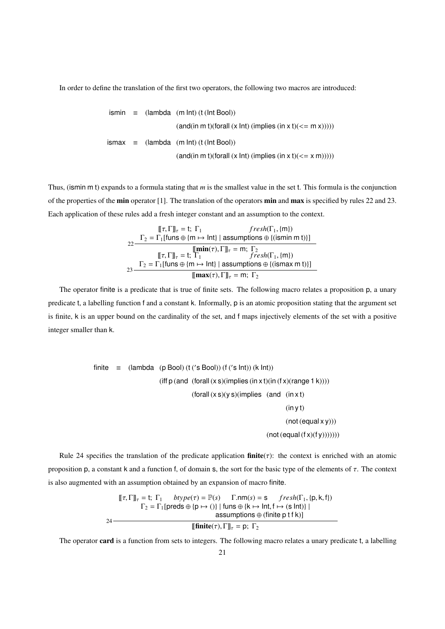In order to define the translation of the first two operators, the following two macros are introduced:

ismin ⌘ (lambda (m Int) (t (Int Bool)) (and(in m t)(forall (x Int) (implies (in x t)(<= m x))))) ismax ⌘ (lambda (m Int) (t (Int Bool)) (and(in m t)(forall (x Int) (implies (in x t)(<= x m)))))

Thus, (ismin m t) expands to a formula stating that *m* is the smallest value in the set t. This formula is the conjunction of the properties of the min operator [1]. The translation of the operators min and max is specified by rules 22 and 23. Each application of these rules add a fresh integer constant and an assumption to the context.

$$
\begin{aligned}\n\llbracket \tau, \Gamma \rrbracket_{\tau} &= t; \Gamma_1 & \text{fresh}(\Gamma_1, \{m\}) \\
22 - \frac{\Gamma_2 = \Gamma_1[\text{funs } \oplus \{m \mapsto \text{Int}\} \mid \text{assumptions } \oplus \{(\text{ismin } m \ t)\}]}{\llbracket \text{min}(\tau), \Gamma \rrbracket_{\tau} = m; \ \Gamma_2} \\
\frac{\llbracket \tau, \Gamma \rrbracket_{\tau} = t; \ \Gamma_1}{\Gamma_2} & \text{fresh}(\Gamma_1, \{m\}) \\
23 - \frac{\Gamma_2 = \Gamma_1[\text{funs } \oplus \{m \mapsto \text{Int}\} \mid \text{assumptions } \oplus \{(\text{ismax } m \ t)\}]}{\llbracket \text{max}(\tau), \Gamma \rrbracket_{\tau} = m; \ \Gamma_2}\n\end{aligned}
$$

The operator finite is a predicate that is true of finite sets. The following macro relates a proposition p, a unary predicate t, a labelling function f and a constant k. Informally, p is an atomic proposition stating that the argument set is finite, k is an upper bound on the cardinality of the set, and f maps injectively elements of the set with a positive integer smaller than k.

> finite  $\equiv$  (lambda (p Bool) (t ('s Bool)) (f ('s lnt)) (k lnt)) (iff p (and (forall  $(x s)$ (implies (in x t)(in (f x)(range 1 k))))  $(forall(x s)(y s)(implies (and (in x t))$  $(in y t)$  $(not (equal x y)))$  $(not (equal (f x)(f y))))))$

Rule 24 specifies the translation of the predicate application  $\text{finite}(\tau)$ : the context is enriched with an atomic proposition p, a constant k and a function f, of domain s, the sort for the basic type of the elements of  $\tau$ . The context is also augmented with an assumption obtained by an expansion of macro finite.

$$
\llbracket \tau, \Gamma \rrbracket_{\tau} = t; \ \Gamma_1 \quad \text{btype}(\tau) = \mathbb{P}(s) \quad \Gamma.\text{nm}(s) = s \quad \text{fcsh}(\Gamma_1, \{\text{p}, \text{k}, \text{f}\})
$$
\n
$$
\Gamma_2 = \Gamma_1[\text{preds} \oplus \{\text{p} \mapsto ()\} \mid \text{tuns} \oplus \{\text{k} \mapsto \text{Int}, \text{f} \mapsto (\text{s} \text{ Int})\} \mid
$$
\n
$$
\text{assumptions} \oplus (\text{finite } \text{p} \text{ tfs})
$$
\n
$$
\llbracket \text{finite}(\tau), \Gamma \rrbracket_{\tau} = \text{p}; \ \Gamma_2
$$

The operator **card** is a function from sets to integers. The following macro relates a unary predicate t, a labelling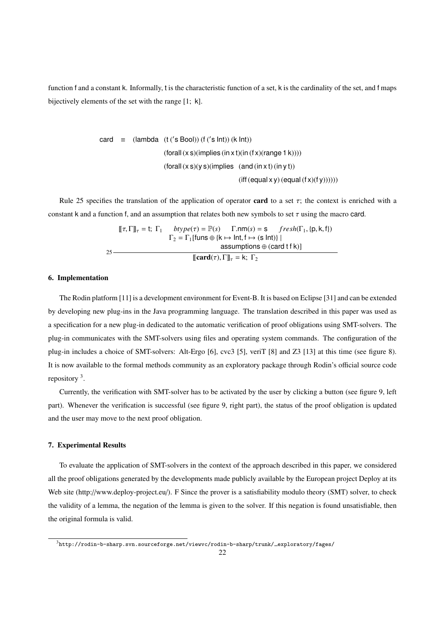function f and a constant k. Informally, t is the characteristic function of a set, k is the cardinality of the set, and f maps bijectively elements of the set with the range [1; k].

\n
$$
\text{card} \equiv (\text{lambda } (t \, \text{'s} \, \text{Bool})) \, (f \, \text{'s} \, \text{Int})) \, (k \, \text{Int})
$$
\n

\n\n $\text{(forall } (x \, s) \, (\text{implies } (\text{in } x \, t) \, (\text{in } (f \, x) \, (\text{range } 1 \, k)))$ \n

\n\n $\text{(forall } (x \, s) \, (y \, s) \, (\text{implies } (\text{and } (\text{in } x \, t) \, (\text{in } y \, t))$ \n

\n\n $\text{(iff } (\text{equal } x \, y) \, (\text{equal } (f \, x) \, (f \, y))))$ \n

Rule 25 specifies the translation of the application of operator card to a set  $\tau$ ; the context is enriched with a constant k and a function f, and an assumption that relates both new symbols to set  $\tau$  using the macro card.

> $25$  $[\![\tau,\Gamma]\!]_{\tau} = \{f; \Gamma_1 \quad btype(\tau) = \mathbb{P}(s) \quad \Gamma.nm(s) = s \quad \text{ fresh}(\Gamma_1, \{\mathsf{p}, \mathsf{k}, \mathsf{f}\})\}$  $\Gamma_2 = \Gamma_1$ [funs  $\oplus$  {k  $\mapsto$  Int, f  $\mapsto$  (s Int)} | assumptions  $\oplus$  (card t f k)] [[card( $\tau$ ),  $\Gamma$ ] $\vert_{\tau}$  = k;  $\Gamma$ <sub>2</sub>

# 6. Implementation

The Rodin platform [11] is a development environment for Event-B. It is based on Eclipse [31] and can be extended by developing new plug-ins in the Java programming language. The translation described in this paper was used as a specification for a new plug-in dedicated to the automatic verification of proof obligations using SMT-solvers. The plug-in communicates with the SMT-solvers using files and operating system commands. The configuration of the plug-in includes a choice of SMT-solvers: Alt-Ergo [6], cvc3 [5], veriT [8] and Z3 [13] at this time (see figure 8). It is now available to the formal methods community as an exploratory package through Rodin's official source code repository  $3$ .

Currently, the verification with SMT-solver has to be activated by the user by clicking a button (see figure 9, left part). Whenever the verification is successful (see figure 9, right part), the status of the proof obligation is updated and the user may move to the next proof obligation.

# 7. Experimental Results

To evaluate the application of SMT-solvers in the context of the approach described in this paper, we considered all the proof obligations generated by the developments made publicly available by the European project Deploy at its Web site (http://www.deploy-project.eu/). F Since the prover is a satisfiability modulo theory (SMT) solver, to check the validity of a lemma, the negation of the lemma is given to the solver. If this negation is found unsatisfiable, then the original formula is valid.

 $3$ http://rodin-b-sharp.svn.sourceforge.net/viewvc/rodin-b-sharp/trunk/ exploratory/fages/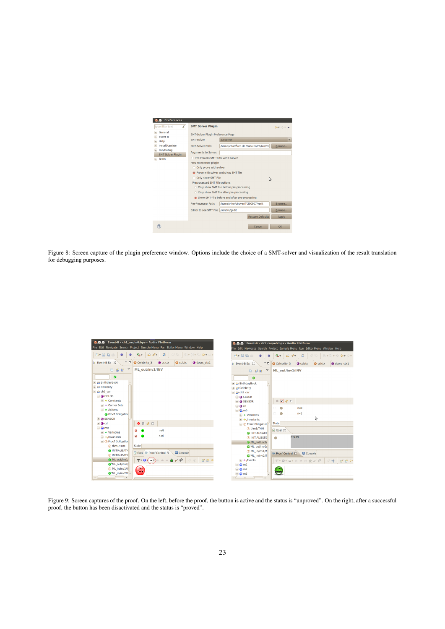

Figure 8: Screen capture of the plugin preference window. Options include the choice of a SMT-solver and visualization of the result translation for debugging purposes.

| <b>● ● ●</b> Event-B - ch2 car/m0.bps - Rodin Platform<br>File Edit Navigate Search Project Sample Menu Run Editor Menu Window Help                                                                                                                                                                                                                                                                                                                                                                                  |                                                                                                                                                                                         |                         |                                                                                                                                                                                                                                                                                                                                              |                 | © ◎ ⊙ Event-B - ch2 car/m0.bps - Rodin Platform<br>File Edit Navigate Search Project Sample-Menu Run Editor-Menu Window Help                                                                                                                                                                                                                                                                                                                                      |                                                                                                                                                                                                                |                                          |                 |                                                                                                  |
|----------------------------------------------------------------------------------------------------------------------------------------------------------------------------------------------------------------------------------------------------------------------------------------------------------------------------------------------------------------------------------------------------------------------------------------------------------------------------------------------------------------------|-----------------------------------------------------------------------------------------------------------------------------------------------------------------------------------------|-------------------------|----------------------------------------------------------------------------------------------------------------------------------------------------------------------------------------------------------------------------------------------------------------------------------------------------------------------------------------------|-----------------|-------------------------------------------------------------------------------------------------------------------------------------------------------------------------------------------------------------------------------------------------------------------------------------------------------------------------------------------------------------------------------------------------------------------------------------------------------------------|----------------------------------------------------------------------------------------------------------------------------------------------------------------------------------------------------------------|------------------------------------------|-----------------|--------------------------------------------------------------------------------------------------|
| <b>DY H &amp; &amp;</b><br>$\bullet$                                                                                                                                                                                                                                                                                                                                                                                                                                                                                 | $Q_{\rm h}$ v<br>$B$ $A$ $V$                                                                                                                                                            | $\overline{\mathbf{z}}$ | $\begin{picture}(120,15) \put(0,0){\line(1,0){155}} \put(15,0){\line(1,0){155}} \put(15,0){\line(1,0){155}} \put(15,0){\line(1,0){155}} \put(15,0){\line(1,0){155}} \put(15,0){\line(1,0){155}} \put(15,0){\line(1,0){155}} \put(15,0){\line(1,0){155}} \put(15,0){\line(1,0){155}} \put(15,0){\line(1,0){155}} \put(15,0){\line(1,0){155}}$ | ▏░▏▼░▏▼ヾ▖ ✿▼ ◇▼ | $\bullet$<br>13 日 7                                                                                                                                                                                                                                                                                                                                                                                                                                               | $Q_{\rm{L}}$ v<br>$B$ $A$ v                                                                                                                                                                                    |                                          |                 | $\langle \mathbf{F} \rangle \mathbf{v} \otimes \mathbf{F} \otimes \mathbf{F} \otimes \mathbf{F}$ |
| $-6$<br>E: Event-B Ex 23                                                                                                                                                                                                                                                                                                                                                                                                                                                                                             | Celebrity 3                                                                                                                                                                             | $Q$ cclctx              | <b>O</b> cclctx                                                                                                                                                                                                                                                                                                                              | coors ctx1      | $-1$<br>Event-B Ex 23                                                                                                                                                                                                                                                                                                                                                                                                                                             | Celebrity 3                                                                                                                                                                                                    | <b>O</b> cclctx                          | <b>O</b> cclctx | ctx1                                                                                             |
| $\boldsymbol{\nabla}$<br>$\Box$<br>华国<br>$\bullet$<br>+ BirthdayBook<br>+ & Celebrity<br>$=$ $\bigoplus$ ch2 car<br>$= 0$ COLOR<br>$\overline{+}$ $\circ$ Constants<br>$+$ $\div$ Carrier Sets<br>$+$ $\star$ Axioms<br>Proof Obligation<br>$\div$ G SENSOR<br>$+$ $\bullet$ cd<br>$= 20, m0$<br>+ • Variables<br>$+$ $\leftrightarrow$ , Invariants<br>2 Proof Obligation<br>(7) thm1/THM<br><b>O</b> INITIALISATIO<br><b>7 INITIALISATIO</b><br>ML out/inv1/<br>ML_out/inv2/<br>(2) ML in/inv1/lN<br>ML in/inv2/ll | ML out/inv1/INV<br>$\bullet$ $\mathbb{Z}$ $\circledast$ $\Box$<br>$\overline{\mathbf{v}}$<br>4H<br>K<br><b>et</b><br><b>State</b><br>Goal & Proof Control &<br>Y V O Y W dc ah ae<br>C, | neN<br>n < d            | Console<br>$O \neq P$                                                                                                                                                                                                                                                                                                                        | ぼ腔く             | $\circ$<br>$\Box$<br>华国<br>$\bullet$<br>+ BirthdayBook<br>+ & Celebrity<br>$=$ $\hat{B}$ ch2 car<br>$+$ $Q$ COLOR<br>$+$ <b><math>\odot</math></b> SENSOR<br>$+$ $\bullet$ cd<br>$= 3.00$<br>+ • Variables<br>$+$ $\div$ , Invariants<br>no Proof Obligation<br>(?) thm1/THM<br><b>O INITIALISATIC</b><br>(?) INITIALISATIO<br>ML out/inv1/<br>ML out/inv2/<br>7 ML in/inv1/ll<br>@ <sup>A</sup> ML in/inv2/IN<br>$+$ $\phi$ , Events<br>$\pm 0$ m1<br>$\pm 0$ m2 | ML out/inv1/INV<br>$\circ \boxed{Z} \circ \boxed{Z}$<br><b>State</b><br><b>Q</b> Goal 83<br>O<br><b>S</b> Proof Control &<br><sup>opp</sup> v @ v su v dc ah ae<br>$\frac{1}{2}$ of $\frac{1}{2}$<br><b>PO</b> | neN<br>n < d<br>$n+1 \in N$<br>□ Console | ら               | $\forall$ of FRO                                                                                 |
|                                                                                                                                                                                                                                                                                                                                                                                                                                                                                                                      |                                                                                                                                                                                         |                         |                                                                                                                                                                                                                                                                                                                                              |                 | $+$ $\omega$ m3<br>$-10$                                                                                                                                                                                                                                                                                                                                                                                                                                          |                                                                                                                                                                                                                |                                          |                 |                                                                                                  |

Figure 9: Screen captures of the proof. On the left, before the proof, the button is active and the status is "unproved". On the right, after a successful proof, the button has been disactivated and the status is "proved".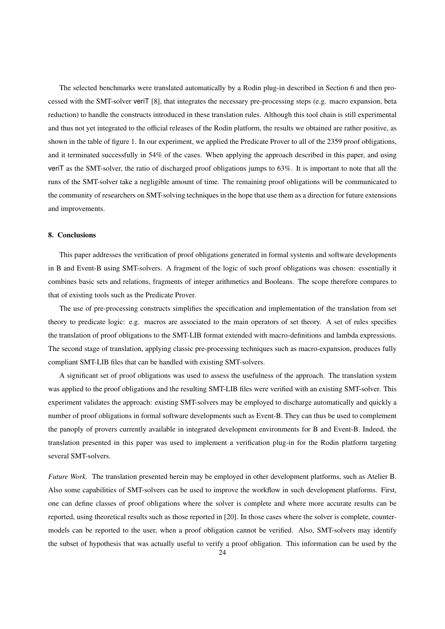The selected benchmarks were translated automatically by a Rodin plug-in described in Section 6 and then processed with the SMT-solver veriT [8], that integrates the necessary pre-processing steps (e.g. macro expansion, beta reduction) to handle the constructs introduced in these translation rules. Although this tool chain is still experimental and thus not yet integrated to the official releases of the Rodin platform, the results we obtained are rather positive, as shown in the table of figure 1. In our experiment, we applied the Predicate Prover to all of the 2359 proof obligations, and it terminated successfully in 54% of the cases. When applying the approach described in this paper, and using veriT as the SMT-solver, the ratio of discharged proof obligations jumps to 63%. It is important to note that all the runs of the SMT-solver take a negligible amount of time. The remaining proof obligations will be communicated to the community of researchers on SMT-solving techniques in the hope that use them as a direction for future extensions and improvements.

# 8. Conclusions

This paper addresses the verification of proof obligations generated in formal systems and software developments in B and Event-B using SMT-solvers. A fragment of the logic of such proof obligations was chosen: essentially it combines basic sets and relations, fragments of integer arithmetics and Booleans. The scope therefore compares to that of existing tools such as the Predicate Prover.

The use of pre-processing constructs simplifies the specification and implementation of the translation from set theory to predicate logic: e.g. macros are associated to the main operators of set theory. A set of rules specifies the translation of proof obligations to the SMT-LIB format extended with macro-definitions and lambda expressions. The second stage of translation, applying classic pre-processing techniques such as macro-expansion, produces fully compliant SMT-LIB files that can be handled with existing SMT-solvers.

A significant set of proof obligations was used to assess the usefulness of the approach. The translation system was applied to the proof obligations and the resulting SMT-LIB files were verified with an existing SMT-solver. This experiment validates the approach: existing SMT-solvers may be employed to discharge automatically and quickly a number of proof obligations in formal software developments such as Event-B. They can thus be used to complement the panoply of provers currently available in integrated development environments for B and Event-B. Indeed, the translation presented in this paper was used to implement a verification plug-in for the Rodin platform targeting several SMT-solvers.

*Future Work.* The translation presented herein may be employed in other development platforms, such as Atelier B. Also some capabilities of SMT-solvers can be used to improve the workflow in such development platforms. First, one can define classes of proof obligations where the solver is complete and where more accurate results can be reported, using theoretical results such as those reported in [20]. In those cases where the solver is complete, countermodels can be reported to the user, when a proof obligation cannot be verified. Also, SMT-solvers may identify the subset of hypothesis that was actually useful to verify a proof obligation. This information can be used by the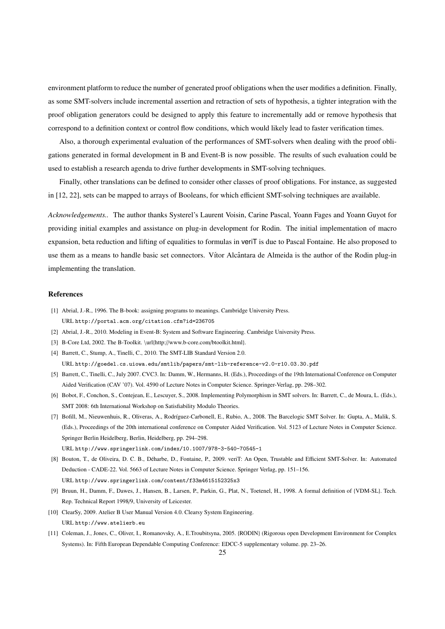environment platform to reduce the number of generated proof obligations when the user modifies a definition. Finally, as some SMT-solvers include incremental assertion and retraction of sets of hypothesis, a tighter integration with the proof obligation generators could be designed to apply this feature to incrementally add or remove hypothesis that correspond to a definition context or control flow conditions, which would likely lead to faster verification times.

Also, a thorough experimental evaluation of the performances of SMT-solvers when dealing with the proof obligations generated in formal development in B and Event-B is now possible. The results of such evaluation could be used to establish a research agenda to drive further developments in SMT-solving techniques.

Finally, other translations can be defined to consider other classes of proof obligations. For instance, as suggested in  $[12, 22]$ , sets can be mapped to arrays of Booleans, for which efficient SMT-solving techniques are available.

*Acknowledgements..* The author thanks Systerel's Laurent Voisin, Carine Pascal, Yoann Fages and Yoann Guyot for providing initial examples and assistance on plug-in development for Rodin. The initial implementation of macro expansion, beta reduction and lifting of equalities to formulas in veriT is due to Pascal Fontaine. He also proposed to use them as a means to handle basic set connectors. Vítor Alcântara de Almeida is the author of the Rodin plug-in implementing the translation.

### References

- [1] Abrial, J.-R., 1996. The B-book: assigning programs to meanings. Cambridge University Press. URL http://portal.acm.org/citation.cfm?id=236705
- [2] Abrial, J.-R., 2010. Modeling in Event-B: System and Software Engineering. Cambridge University Press.
- [3] B-Core Ltd, 2002. The B-Toolkit. \url{http://www.b-core.com/btoolkit.html}.
- [4] Barrett, C., Stump, A., Tinelli, C., 2010. The SMT-LIB Standard Version 2.0. URL http://goedel.cs.uiowa.edu/smtlib/papers/smt-lib-reference-v2.0-r10.03.30.pdf
- [5] Barrett, C., Tinelli, C., July 2007. CVC3. In: Damm, W., Hermanns, H. (Eds.), Proceedings of the 19th International Conference on Computer Aided Verification (CAV '07). Vol. 4590 of Lecture Notes in Computer Science. Springer-Verlag, pp. 298–302.
- [6] Bobot, F., Conchon, S., Contejean, E., Lescuyer, S., 2008. Implementing Polymorphism in SMT solvers. In: Barrett, C., de Moura, L. (Eds.), SMT 2008: 6th International Workshop on Satisfiability Modulo Theories.
- [7] Bofill, M., Nieuwenhuis, R., Oliveras, A., Rodríguez-Carbonell, E., Rubio, A., 2008. The Barcelogic SMT Solver. In: Gupta, A., Malik, S. (Eds.), Proceedings of the 20th international conference on Computer Aided Verification. Vol. 5123 of Lecture Notes in Computer Science. Springer Berlin Heidelberg, Berlin, Heidelberg, pp. 294–298.
	- URL http://www.springerlink.com/index/10.1007/978-3-540-70545-1
- [8] Bouton, T., de Oliveira, D. C. B., Déharbe, D., Fontaine, P., 2009. veriT: An Open, Trustable and Efficient SMT-Solver. In: Automated Deduction - CADE-22. Vol. 5663 of Lecture Notes in Computer Science. Springer Verlag, pp. 151–156. URL http://www.springerlink.com/content/f33m4615152325x3
- [9] Bruun, H., Damm, F., Dawes, J., Hansen, B., Larsen, P., Parkin, G., Plat, N., Toetenel, H., 1998. A formal definition of {VDM-SL}. Tech. Rep. Technical Report 1998/9, University of Leicester.
- [10] ClearSy, 2009. Atelier B User Manual Version 4.0. Clearsy System Engineering. URL http://www.atelierb.eu
- [11] Coleman, J., Jones, C., Oliver, I., Romanovsky, A., E.Troubitsyna, 2005. {RODIN} (Rigorous open Development Environment for Complex Systems). In: Fifth European Dependable Computing Conference: EDCC-5 supplementary volume. pp. 23–26.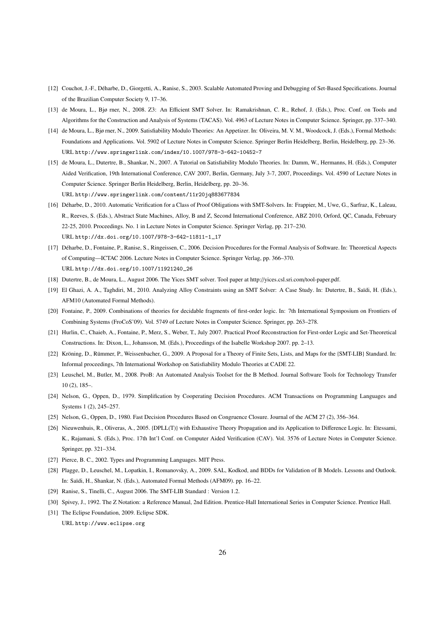- [12] Couchot, J.-F., Deharbe, D., Giorgetti, A., Ranise, S., 2003. Scalable Automated Proving and Debugging of Set-Based Specifications. Journal ´ of the Brazilian Computer Society 9, 17–36.
- [13] de Moura, L., Bjø rner, N., 2008. Z3: An Efficient SMT Solver. In: Ramakrishnan, C. R., Rehof, J. (Eds.), Proc. Conf. on Tools and Algorithms for the Construction and Analysis of Systems (TACAS). Vol. 4963 of Lecture Notes in Computer Science. Springer, pp. 337–340.
- [14] de Moura, L., Bjø rner, N., 2009. Satisfiability Modulo Theories: An Appetizer. In: Oliveira, M. V. M., Woodcock, J. (Eds.), Formal Methods: Foundations and Applications. Vol. 5902 of Lecture Notes in Computer Science. Springer Berlin Heidelberg, Berlin, Heidelberg, pp. 23–36. URL http://www.springerlink.com/index/10.1007/978-3-642-10452-7
- [15] de Moura, L., Dutertre, B., Shankar, N., 2007. A Tutorial on Satisfiability Modulo Theories. In: Damm, W., Hermanns, H. (Eds.), Computer Aided Verification, 19th International Conference, CAV 2007, Berlin, Germany, July 3-7, 2007, Proceedings. Vol. 4590 of Lecture Notes in Computer Science. Springer Berlin Heidelberg, Berlin, Heidelberg, pp. 20–36. URL http://www.springerlink.com/content/11r20jq883677834
- [16] Déharbe, D., 2010. Automatic Verification for a Class of Proof Obligations with SMT-Solvers. In: Frappier, M., Uwe, G., Sarfraz, K., Laleau, R., Reeves, S. (Eds.), Abstract State Machines, Alloy, B and Z, Second International Conference, ABZ 2010, Orford, QC, Canada, February 22-25, 2010. Proceedings. No. 1 in Lecture Notes in Computer Science. Springer Verlag, pp. 217–230. URL http://dx.doi.org/10.1007/978-3-642-11811-1\_17
- [17] Deharbe, D., Fontaine, P., Ranise, S., Ringeissen, C., 2006. Decision Procedures for the Formal Analysis of Software. In: Theoretical Aspects ´ of Computing—ICTAC 2006. Lecture Notes in Computer Science. Springer Verlag, pp. 366–370. URL http://dx.doi.org/10.1007/11921240 26
- [18] Dutertre, B., de Moura, L., August 2006. The Yices SMT solver. Tool paper at http://yices.csl.sri.com/tool-paper.pdf.
- [19] El Ghazi, A. A., Taghdiri, M., 2010. Analyzing Alloy Constraints using an SMT Solver: A Case Study. In: Dutertre, B., Sa¨ıdi, H. (Eds.), AFM10 (Automated Formal Methods).
- [20] Fontaine, P., 2009. Combinations of theories for decidable fragments of first-order logic. In: 7th International Symposium on Frontiers of Combining Systems (FroCoS'09). Vol. 5749 of Lecture Notes in Computer Science. Springer, pp. 263–278.
- [21] Hurlin, C., Chaieb, A., Fontaine, P., Merz, S., Weber, T., July 2007. Practical Proof Reconstruction for First-order Logic and Set-Theoretical Constructions. In: Dixon, L., Johansson, M. (Eds.), Proceedings of the Isabelle Workshop 2007. pp. 2–13.
- [22] Kröning, D., Rümmer, P., Weissenbacher, G., 2009. A Proposal for a Theory of Finite Sets, Lists, and Maps for the {SMT-LIB} Standard. In: Informal proceedings, 7th International Workshop on Satisfiability Modulo Theories at CADE 22.
- [23] Leuschel, M., Butler, M., 2008. ProB: An Automated Analysis Toolset for the B Method. Journal Software Tools for Technology Transfer 10 (2), 185–.
- [24] Nelson, G., Oppen, D., 1979. Simplification by Cooperating Decision Procedures. ACM Transactions on Programming Languages and Systems 1 (2), 245–257.
- [25] Nelson, G., Oppen, D., 1980. Fast Decision Procedures Based on Congruence Closure. Journal of the ACM 27 (2), 356–364.
- [26] Nieuwenhuis, R., Oliveras, A., 2005. {DPLL(T)} with Exhaustive Theory Propagation and its Application to Difference Logic. In: Etessami, K., Rajamani, S. (Eds.), Proc. 17th Int'l Conf. on Computer Aided Verification (CAV). Vol. 3576 of Lecture Notes in Computer Science. Springer, pp. 321–334.
- [27] Pierce, B. C., 2002. Types and Programming Languages. MIT Press.
- [28] Plagge, D., Leuschel, M., Lopatkin, I., Romanovsky, A., 2009. SAL, Kodkod, and BDDs for Validation of B Models. Lessons and Outlook. In: Saïdi, H., Shankar, N. (Eds.), Automated Formal Methods (AFM09). pp. 16-22.
- [29] Ranise, S., Tinelli, C., August 2006. The SMT-LIB Standard : Version 1.2.
- [30] Spivey, J., 1992. The Z Notation: a Reference Manual, 2nd Edition. Prentice-Hall International Series in Computer Science. Prentice Hall.
- [31] The Eclipse Foundation, 2009. Eclipse SDK. URL http://www.eclipse.org